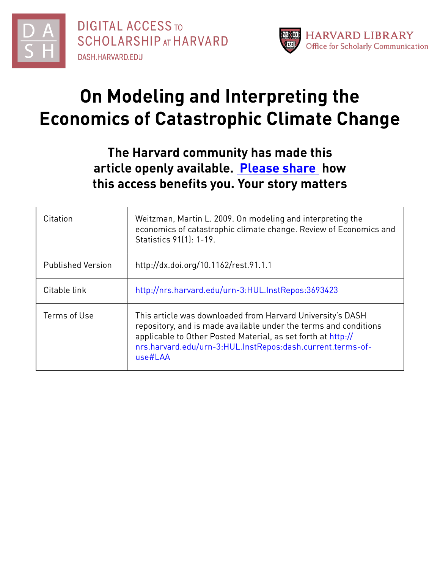



# **On Modeling and Interpreting the Economics of Catastrophic Climate Change**

### **The Harvard community has made this article openly available. [Please](http://osc.hul.harvard.edu/dash/open-access-feedback?handle=&title=On%20Modeling%20and%20Interpreting%20the%20Economics%20of%20Catastrophic%20Climate%20Change&community=1/1&collection=1/2&owningCollection1/2&harvardAuthors=2b466370557b53bf51f3415bbe3e4967&departmentEconomics) share how this access benefits you. Your story matters**

| Citation                 | Weitzman, Martin L. 2009. On modeling and interpreting the<br>economics of catastrophic climate change. Review of Economics and<br>Statistics 91(1): 1-19.                                                                                                              |
|--------------------------|-------------------------------------------------------------------------------------------------------------------------------------------------------------------------------------------------------------------------------------------------------------------------|
| <b>Published Version</b> | http://dx.doi.org/10.1162/rest.91.1.1                                                                                                                                                                                                                                   |
| Citable link             | http://nrs.harvard.edu/urn-3:HUL.InstRepos:3693423                                                                                                                                                                                                                      |
| Terms of Use             | This article was downloaded from Harvard University's DASH<br>repository, and is made available under the terms and conditions<br>applicable to Other Posted Material, as set forth at http://<br>nrs.harvard.edu/urn-3:HUL.InstRepos:dash.current.terms-of-<br>use#LAA |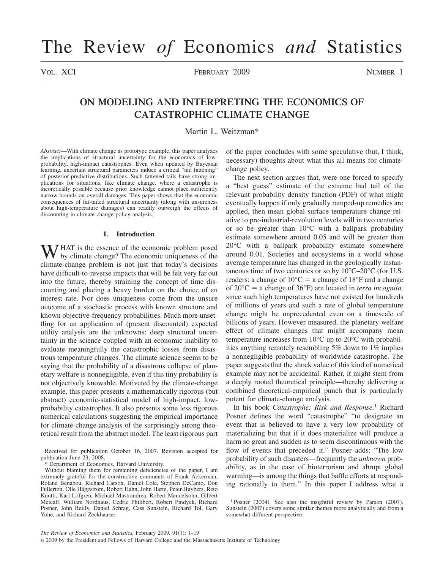## The Review *of* Economics *and* Statistics

VOL. XCI **FEBRUARY 2009** NUMBER 1

### **ON MODELING AND INTERPRETING THE ECONOMICS OF CATASTROPHIC CLIMATE CHANGE**

Martin L. Weitzman\*

*Abstract*—With climate change as prototype example, this paper analyzes the implications of structural uncertainty for the economics of lowprobability, high-impact catastrophes. Even when updated by Bayesian learning, uncertain structural parameters induce a critical "tail fattening" of posterior-predictive distributions. Such fattened tails have strong implications for situations, like climate change, where a catastrophe is theoretically possible because prior knowledge cannot place sufficiently narrow bounds on overall damages. This paper shows that the economic consequences of fat-tailed structural uncertainty (along with unsureness about high-temperature damages) can readily outweigh the effects of discounting in climate-change policy analysis.

#### **I. Introduction**

 $W^{\text{HAT}}$  is the essence of the economic problem posed by climate change? The economic uniqueness of the climate-change problem is not just that today's decisions have difficult-to-reverse impacts that will be felt very far out into the future, thereby straining the concept of time discounting and placing a heavy burden on the choice of an interest rate. Nor does uniqueness come from the unsure outcome of a stochastic process with known structure and known objective-frequency probabilities. Much more unsettling for an application of (present discounted) expected utility analysis are the unknowns: deep structural uncertainty in the science coupled with an economic inability to evaluate meaningfully the catastrophic losses from disastrous temperature changes. The climate science seems to be saying that the probability of a disastrous collapse of planetary welfare is nonnegligible, even if this tiny probability is not objectively knowable. Motivated by the climate-change example, this paper presents a mathematically rigorous (but abstract) economic-statistical model of high-impact, lowprobability catastrophes. It also presents some less rigorous numerical calculations suggesting the empirical importance for climate-change analysis of the surprisingly strong theoretical result from the abstract model. The least rigorous part

Received for publication October 16, 2007. Revision accepted for publication June 23, 2008.

\* Department of Economics, Harvard University.

Without blaming them for remaining deficiencies of the paper, I am extremely grateful for the constructive comments of Frank Ackerman, Roland Benabou, Richard Carson, Daniel Cole, Stephen DeCanio, Don Fullerton, Olle Häggström, Robert Hahn, John Harte, Peter Huybers, Reto Knutti, Karl Löfgren, Michael Mastrandrea, Robert Mendelsohn, Gilbert Metcalf, William Nordhaus, Cedric Philibert, Robert Pindyck, Richard Posner, John Reilly, Daniel Schrag, Cass Sunstein, Richard Tol, Gary Yohe, and Richard Zeckhauser.

of the paper concludes with some speculative (but, I think, necessary) thoughts about what this all means for climatechange policy.

The next section argues that, were one forced to specify a "best guess" estimate of the extreme bad tail of the relevant probability density function (PDF) of what might eventually happen if only gradually ramped-up remedies are applied, then mean global surface temperature change relative to pre-industrial-revolution levels will in two centuries or so be greater than 10°C with a ballpark probability estimate somewhere around 0.05 and will be greater than 20°C with a ballpark probability estimate somewhere around 0.01. Societies and ecosystems in a world whose average temperature has changed in the geologically instantaneous time of two centuries or so by 10°C–20°C (for U.S. readers: a change of  $10^{\circ}$ C = a change of  $18^{\circ}$ F and a change of 20°C a change of 36°F) are located in *terra incognita,* since such high temperatures have not existed for hundreds of millions of years and such a rate of global temperature change might be unprecedented even on a timescale of billions of years. However measured, the planetary welfare effect of climate changes that might accompany mean temperature increases from 10°C up to 20°C with probabilities anything remotely resembling 5% down to 1% implies a nonnegligible probability of worldwide catastrophe. The paper suggests that the shock value of this kind of numerical example may not be accidental. Rather, it might stem from a deeply rooted theoretical principle—thereby delivering a combined theoretical-empirical punch that is particularly potent for climate-change analysis.

In his book *Catastrophe: Risk and Response,*<sup>1</sup> Richard Posner defines the word "catastrophe" "to designate an event that is believed to have a very low probability of materializing but that if it does materialize will produce a harm so great and sudden as to seem discontinuous with the flow of events that preceded it." Posner adds: "The low probability of such disasters—frequently the *unknown* probability, as in the case of bioterrorism and abrupt global warming—is among the things that baffle efforts at responding rationally to them." In this paper I address what a

<sup>1</sup> Posner (2004). See also the insightful review by Parson (2007). Sunstein (2007) covers some similar themes more analytically and from a somewhat different perspective.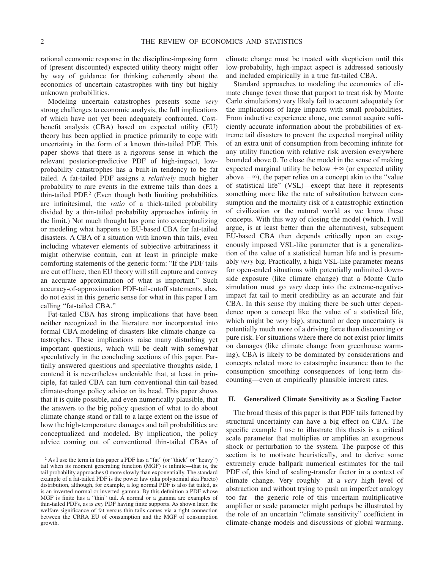rational economic response in the discipline-imposing form of (present discounted) expected utility theory might offer by way of guidance for thinking coherently about the economics of uncertain catastrophes with tiny but highly unknown probabilities.

Modeling uncertain catastrophes presents some *very* strong challenges to economic analysis, the full implications of which have not yet been adequately confronted. Costbenefit analysis (CBA) based on expected utility (EU) theory has been applied in practice primarily to cope with uncertainty in the form of a known thin-tailed PDF. This paper shows that there is a rigorous sense in which the relevant posterior-predictive PDF of high-impact, lowprobability catastrophes has a built-in tendency to be fat tailed. A fat-tailed PDF assigns a *relatively* much higher probability to rare events in the extreme tails than does a thin-tailed PDF.2 (Even though both limiting probabilities are infinitesimal, the *ratio* of a thick-tailed probability divided by a thin-tailed probability approaches infinity in the limit.) Not much thought has gone into conceptualizing or modeling what happens to EU-based CBA for fat-tailed disasters. A CBA of a situation with known thin tails, even including whatever elements of subjective arbitrariness it might otherwise contain, can at least in principle make comforting statements of the generic form: "If the PDF tails are cut off here, then EU theory will still capture and convey an accurate approximation of what is important." Such accuracy-of-approximation PDF-tail-cutoff statements, alas, do not exist in this generic sense for what in this paper I am calling "fat-tailed CBA."

Fat-tailed CBA has strong implications that have been neither recognized in the literature nor incorporated into formal CBA modeling of disasters like climate-change catastrophes. These implications raise many disturbing yet important questions, which will be dealt with somewhat speculatively in the concluding sections of this paper. Partially answered questions and speculative thoughts aside, I contend it is nevertheless undeniable that, at least in principle, fat-tailed CBA can turn conventional thin-tail-based climate-change policy advice on its head. This paper shows that it is quite possible, and even numerically plausible, that the answers to the big policy question of what to do about climate change stand or fall to a large extent on the issue of how the high-temperature damages and tail probabilities are conceptualized and modeled. By implication, the policy advice coming out of conventional thin-tailed CBAs of climate change must be treated with skepticism until this low-probability, high-impact aspect is addressed seriously and included empirically in a true fat-tailed CBA.

Standard approaches to modeling the economics of climate change (even those that purport to treat risk by Monte Carlo simulations) very likely fail to account adequately for the implications of large impacts with small probabilities. From inductive experience alone, one cannot acquire sufficiently accurate information about the probabilities of extreme tail disasters to prevent the expected marginal utility of an extra unit of consumption from becoming infinite for any utility function with relative risk aversion everywhere bounded above 0. To close the model in the sense of making expected marginal utility be below  $+\infty$  (or expected utility above  $-\infty$ ), the paper relies on a concept akin to the "value" of statistical life" (VSL)—except that here it represents something more like the rate of substitution between consumption and the mortality risk of a catastrophic extinction of civilization or the natural world as we know these concepts. With this way of closing the model (which, I will argue, is at least better than the alternatives), subsequent EU-based CBA then depends critically upon an exogenously imposed VSL-like parameter that is a generalization of the value of a statistical human life and is presumably *very* big. Practically, a high VSL-like parameter means for open-ended situations with potentially unlimited downside exposure (like climate change) that a Monte Carlo simulation must go *very* deep into the extreme-negativeimpact fat tail to merit credibility as an accurate and fair CBA. In this sense (by making there be such utter dependence upon a concept like the value of a statistical life, which might be *very* big), structural or deep uncertainty is potentially much more of a driving force than discounting or pure risk. For situations where there do not exist prior limits on damages (like climate change from greenhouse warming), CBA is likely to be dominated by considerations and concepts related more to catastrophe insurance than to the consumption smoothing consequences of long-term discounting—even at empirically plausible interest rates.

#### **II. Generalized Climate Sensitivity as a Scaling Factor**

The broad thesis of this paper is that PDF tails fattened by structural uncertainty can have a big effect on CBA. The specific example I use to illustrate this thesis is a critical scale parameter that multiplies or amplifies an exogenous shock or perturbation to the system. The purpose of this section is to motivate heuristically, and to derive some extremely crude ballpark numerical estimates for the tail PDF of, this kind of scaling-transfer factor in a context of climate change. Very roughly—at a *very* high level of abstraction and without trying to push an imperfect analogy too far—the generic role of this uncertain multiplicative amplifier or scale parameter might perhaps be illustrated by the role of an uncertain "climate sensitivity" coefficient in climate-change models and discussions of global warming.

<sup>&</sup>lt;sup>2</sup> As I use the term in this paper a PDF has a "fat" (or "thick" or "heavy") tail when its moment generating function (MGF) is infinite—that is, the tail probability approaches 0 more slowly than exponentially. The standard example of a fat-tailed PDF is the power law (aka polynomial aka Pareto) distribution, although, for example, a log normal PDF is also fat tailed, as is an inverted-normal or inverted-gamma. By this definition a PDF whose MGF is finite has a "thin" tail. A normal or a gamma are examples of thin-tailed PDFs, as is *any* PDF having finite supports. As shown later, the welfare significance of fat versus thin tails comes via a tight connection between the CRRA EU of consumption and the MGF of consumption growth.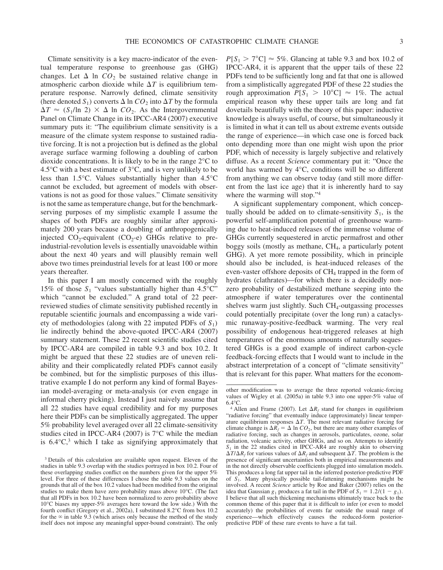Climate sensitivity is a key macro-indicator of the eventual temperature response to greenhouse gas (GHG) changes. Let  $\Delta$  ln  $CO_2$  be sustained relative change in atmospheric carbon dioxide while  $\Delta T$  is equilibrium temperature response. Narrowly defined, climate sensitivity (here denoted  $S_1$ ) converts  $\Delta$  ln  $CO_2$  into  $\Delta T$  by the formula  $\Delta T \approx (S_1/\ln 2) \times \Delta \ln CO_2$ . As the Intergovernmental Panel on Climate Change in its IPCC-AR4 (2007) executive summary puts it: "The equilibrium climate sensitivity is a measure of the climate system response to sustained radiative forcing. It is not a projection but is defined as the global average surface warming following a doubling of carbon dioxide concentrations. It is likely to be in the range 2°C to 4.5°C with a best estimate of 3°C, and is very unlikely to be less than 1.5°C. Values substantially higher than 4.5°C cannot be excluded, but agreement of models with observations is not as good for those values." Climate sensitivity is not the same as temperature change, but for the benchmarkserving purposes of my simplistic example I assume the shapes of both PDFs are roughly similar after approximately 200 years because a doubling of anthropogenically injected  $CO_2$ -equivalent  $(CO_2$ -e) GHGs relative to preindustrial-revolution levels is essentially unavoidable within about the next 40 years and will plausibly remain well above two times preindustrial levels for at least 100 or more years thereafter.

In this paper I am mostly concerned with the roughly 15% of those  $S_1$  "values substantially higher than 4.5°C" which "cannot be excluded." A grand total of 22 peerreviewed studies of climate sensitivity published recently in reputable scientific journals and encompassing a wide variety of methodologies (along with 22 imputed PDFs of *S*1) lie indirectly behind the above-quoted IPCC-AR4 (2007) summary statement. These 22 recent scientific studies cited by IPCC-AR4 are compiled in table 9.3 and box 10.2. It might be argued that these 22 studies are of uneven reliability and their complicatedly related PDFs cannot easily be combined, but for the simplistic purposes of this illustrative example I do not perform any kind of formal Bayesian model-averaging or meta-analysis (or even engage in informal cherry picking). Instead I just naively assume that all 22 studies have equal credibility and for my purposes here their PDFs can be simplistically aggregated. The upper 5% probability level averaged over all 22 climate-sensitivity studies cited in IPCC-AR4 (2007) is 7°C while the median is  $6.4^{\circ}C^{3}$  which I take as signifying approximately that  $P[S_1 > 7^{\circ}\text{C}] \approx 5\%$ . Glancing at table 9.3 and box 10.2 of IPCC-AR4, it is apparent that the upper tails of these 22 PDFs tend to be sufficiently long and fat that one is allowed from a simplistically aggregated PDF of these 22 studies the rough approximation  $P[S_1 > 10^{\circ}\text{C}] \approx 1\%$ . The actual empirical reason why these upper tails are long and fat dovetails beautifully with the theory of this paper: inductive knowledge is always useful, of course, but simultaneously it is limited in what it can tell us about extreme events outside the range of experience—in which case one is forced back onto depending more than one might wish upon the prior PDF, which of necessity is largely subjective and relatively diffuse. As a recent *Science* commentary put it: "Once the world has warmed by 4°C, conditions will be so different from anything we can observe today (and still more different from the last ice age) that it is inherently hard to say where the warming will stop."<sup>4</sup>

A significant supplementary component, which conceptually should be added on to climate-sensitivity  $S_1$ , is the powerful self-amplification potential of greenhouse warming due to heat-induced releases of the immense volume of GHGs currently sequestered in arctic permafrost and other boggy soils (mostly as methane,  $CH<sub>4</sub>$ , a particularly potent GHG). A yet more remote possibility, which in principle should also be included, is heat-induced releases of the even-vaster offshore deposits of CH<sub>4</sub> trapped in the form of hydrates (clathrates)—for which there is a decidedly nonzero probability of destabilized methane seeping into the atmosphere if water temperatures over the continental shelves warm just slightly. Such CH<sub>4</sub>-outgassing processes could potentially precipitate (over the long run) a cataclysmic runaway-positive-feedback warming. The very real possibility of endogenous heat-triggered releases at high temperatures of the enormous amounts of naturally sequestered GHGs is a good example of indirect carbon-cycle feedback-forcing effects that I would want to include in the abstract interpretation of a concept of "climate sensitivity" that is relevant for this paper. What matters for the econom-

<sup>3</sup> Details of this calculation are available upon request. Eleven of the studies in table 9.3 overlap with the studies portrayed in box 10.2. Four of these overlapping studies conflict on the numbers given for the upper 5% level. For three of these differences I chose the table 9.3 values on the grounds that all of the box 10.2 values had been modified from the original studies to make them have zero probability mass above 10°C. (The fact that all PDFs in box 10.2 have been normalized to zero probability above 10°C biases my upper-5% averages here toward the low side.) With the fourth conflict (Gregory et al., 2002a), I substituted 8.2°C from box 10.2 for the  $\infty$  in table 9.3 (which arises only because the method of the study itself does not impose any meaningful upper-bound constraint). The only

other modification was to average the three reported volcanic-forcing values of Wigley et al. (2005a) in table 9.3 into one upper-5% value of 6.4°C.

<sup>&</sup>lt;sup>4</sup> Allen and Frame (2007). Let  $\Delta R_f$  stand for changes in equilibrium "radiative forcing" that eventually induce (approximately) linear temperature equilibrium responses  $\Delta T$ . The most relevant radiative forcing for climate change is  $\Delta R_f = \Delta \ln CO_2$ , but there are many other examples of radiative forcing, such as changes in aerosols, particulates, ozone, solar radiation, volcanic activity, other GHGs, and so on. Attempts to identify *S*<sup>1</sup> in the 22 studies cited in IPCC-AR4 are roughly akin to observing  $\Delta T/\Delta R_f$  for various values of  $\Delta R_f$  and subsequent  $\Delta T$ . The problem is the presence of significant uncertainties both in empirical measurements and in the not directly observable coefficients plugged into simulation models. This produces a long fat upper tail in the inferred posterior-predictive PDF of *S*1. Many physically possible tail-fattening mechanisms might be involved. A recent *Science* article by Roe and Baker (2007) relies on the idea that Gaussian  $g_1$  produces a fat tail in the PDF of  $S_1 = 1.2/(1 - g_1)$ . I believe that all such thickening mechanisms ultimately trace back to the common theme of this paper that it is difficult to infer (or even to model accurately) the probabilities of events far outside the usual range of experience—which effectively causes the reduced-form posteriorpredictive PDF of these rare events to have a fat tail.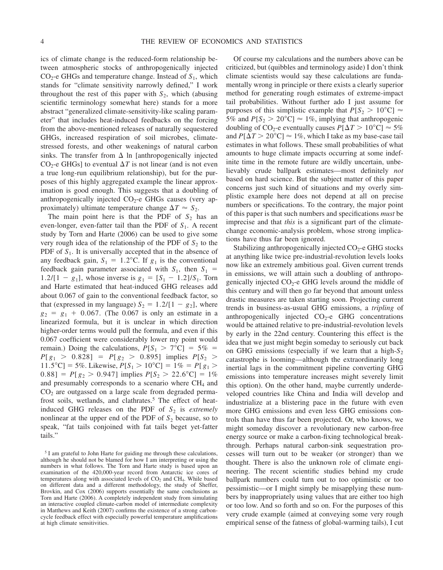ics of climate change is the reduced-form relationship between atmospheric stocks of anthropogenically injected  $CO<sub>2</sub>$ -e GHGs and temperature change. Instead of  $S<sub>1</sub>$ , which stands for "climate sensitivity narrowly defined," I work throughout the rest of this paper with  $S_2$ , which (abusing scientific terminology somewhat here) stands for a more abstract "generalized climate-sensitivity-like scaling parameter" that includes heat-induced feedbacks on the forcing from the above-mentioned releases of naturally sequestered GHGs, increased respiration of soil microbes, climatestressed forests, and other weakenings of natural carbon sinks. The transfer from  $\Delta$  ln [anthropogenically injected  $CO<sub>2</sub>$ -e GHGs] to eventual  $\Delta T$  is not linear (and is not even a true long-run equilibrium relationship), but for the purposes of this highly aggregated example the linear approximation is good enough. This suggests that a doubling of anthropogenically injected  $CO<sub>2</sub>$ -e GHGs causes (very approximately) ultimate temperature change  $\Delta T \approx S_2$ .

The main point here is that the PDF of  $S_2$  has an even-longer, even-fatter tail than the PDF of  $S_1$ . A recent study by Torn and Harte (2006) can be used to give some very rough idea of the relationship of the PDF of  $S_2$  to the PDF of  $S<sub>1</sub>$ . It is universally accepted that in the absence of any feedback gain,  $S_1 = 1.2$ °C. If  $g_1$  is the conventional feedback gain parameter associated with  $S_1$ , then  $S_1$  = 1.2/ $[1 - g_1]$ , whose inverse is  $g_1 = [S_1 - 1.2]/S_1$ . Torn and Harte estimated that heat-induced GHG releases add about 0.067 of gain to the conventional feedback factor, so that (expressed in my language)  $S_2 = 1.2/[1 - g_2]$ , where  $g_2 = g_1 + 0.067$ . (The 0.067 is only an estimate in a linearized formula, but it is unclear in which direction higher-order terms would pull the formula, and even if this 0.067 coefficient were considerably lower my point would remain.) Doing the calculations,  $P[S_1 > 7^{\circ}\text{C}] = 5\%$  $P[g_1 > 0.828] = P[g_2 > 0.895]$  implies  $P[S_2 > 0.895]$  $11.5^{\circ}$ C] = 5%. Likewise,  $P[S_1 > 10^{\circ}$ C] = 1% =  $P[S_1 >$  $0.88$ ] =  $P[g_2 > 0.947]$  implies  $P[S_2 > 22.6^{\circ}C] = 1\%$ and presumably corresponds to a scenario where  $CH<sub>4</sub>$  and  $CO<sub>2</sub>$  are outgassed on a large scale from degraded permafrost soils, wetlands, and clathrates.<sup>5</sup> The effect of heatinduced GHG releases on the PDF of  $S_2$  is *extremely* nonlinear at the upper end of the PDF of  $S_2$  because, so to speak, "fat tails conjoined with fat tails beget yet-fatter tails."

Of course my calculations and the numbers above can be criticized, but (quibbles and terminology aside) I don't think climate scientists would say these calculations are fundamentally wrong in principle or there exists a clearly superior method for generating rough estimates of extreme-impact tail probabilities. Without further ado I just assume for purposes of this simplistic example that  $P[S_2 > 10^{\circ} \text{C}] \approx$ 5% and  $P[S_2 > 20^{\circ}C] \approx 1\%$ , implying that anthropogenic doubling of CO<sub>2</sub>-e eventually causes  $P[\Delta T > 10^{\circ}\text{C}] \approx 5\%$ and  $P[\Delta T > 20^{\circ}\text{C}] \approx 1\%$ , which I take as my base-case tail estimates in what follows. These small probabilities of what amounts to huge climate impacts occurring at some indefinite time in the remote future are wildly uncertain, unbelievably crude ballpark estimates—most definitely *not* based on hard science. But the subject matter of this paper concerns just such kind of situations and my overly simplistic example here does not depend at all on precise numbers or specifications. To the contrary, the major point of this paper is that such numbers and specifications *must* be imprecise and that *this* is a significant part of the climatechange economic-analysis problem, whose strong implications have thus far been ignored.

Stabilizing anthropogenically injected  $CO<sub>2</sub>$ -e GHG stocks at anything like twice pre-industrial-revolution levels looks now like an extremely ambitious goal. Given current trends in emissions, we will attain such a doubling of anthropogenically injected  $CO<sub>2</sub>$ -e GHG levels around the middle of this century and will then go far beyond that amount unless drastic measures are taken starting soon. Projecting current trends in business-as-usual GHG emissions, a *tripling* of anthropogenically injected  $CO<sub>2</sub>$ -e GHG concentrations would be attained relative to pre-industrial-revolution levels by early in the 22nd century. Countering this effect is the idea that we just might begin someday to seriously cut back on GHG emissions (especially if we learn that a high- $S_2$ ) catastrophe is looming—although the extraordinarily long inertial lags in the commitment pipeline converting GHG emissions into temperature increases might severely limit this option). On the other hand, maybe currently underdeveloped countries like China and India will develop and industrialize at a blistering pace in the future with even more GHG emissions and even less GHG emissions controls than have thus far been projected. Or, who knows, we might someday discover a revolutionary new carbon-free energy source or make a carbon-fixing technological breakthrough. Perhaps natural carbon-sink sequestration processes will turn out to be weaker (or stronger) than we thought. There is also the unknown role of climate engineering. The recent scientific studies behind my crude ballpark numbers could turn out to too optimistic or too pessimistic—or I might simply be misapplying these numbers by inappropriately using values that are either too high or too low. And so forth and so on. For the purposes of this very crude example (aimed at conveying some very rough empirical sense of the fatness of global-warming tails), I cut

<sup>5</sup> I am grateful to John Harte for guiding me through these calculations, although he should not be blamed for how I am interpreting or using the numbers in what follows. The Torn and Harte study is based upon an examination of the 420,000-year record from Antarctic ice cores of temperatures along with associated levels of  $CO<sub>2</sub>$  and  $CH<sub>4</sub>$ . While based on different data and a different methodology, the study of Sheffer, Brovkin, and Cox (2006) supports essentially the same conclusions as Torn and Harte (2006). A completely independent study from simulating an interactive coupled climate-carbon model of intermediate complexity in Matthews and Keith (2007) confirms the existence of a strong carboncycle feedback effect with especially powerful temperature amplifications at high climate sensitivities.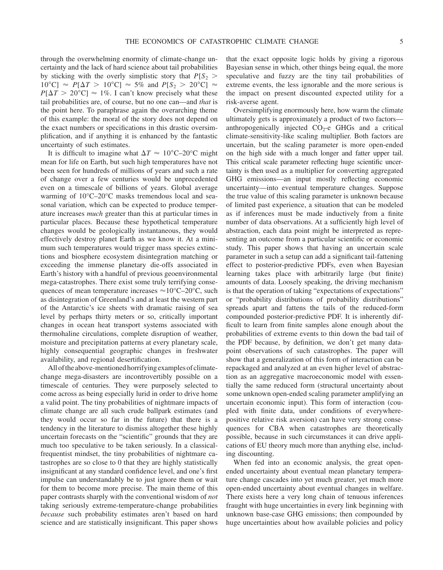through the overwhelming enormity of climate-change uncertainty and the lack of hard science about tail probabilities by sticking with the overly simplistic story that  $P[S_2 >$  $10^{\circ}$ C]  $\approx$   $P[\Delta T > 10^{\circ}$ C]  $\approx$  5% and  $P[S_2 > 20^{\circ}$ C]  $\approx$  $P[\Delta T > 20^{\circ}\text{C}] \approx 1\%$ . I can't know precisely what these tail probabilities are, of course, but no one can—and *that* is the point here. To paraphrase again the overarching theme of this example: the moral of the story does not depend on the exact numbers or specifications in this drastic oversimplification, and if anything it is enhanced by the fantastic uncertainty of such estimates.

It is difficult to imagine what  $\Delta T \approx 10^{\circ}\text{C}$ –20<sup>o</sup>C might mean for life on Earth, but such high temperatures have not been seen for hundreds of millions of years and such a rate of change over a few centuries would be unprecedented even on a timescale of billions of years. Global average warming of 10°C–20°C masks tremendous local and seasonal variation, which can be expected to produce temperature increases *much* greater than this at particular times in particular places. Because these hypothetical temperature changes would be geologically instantaneous, they would effectively destroy planet Earth as we know it. At a minimum such temperatures would trigger mass species extinctions and biosphere ecosystem disintegration matching or exceeding the immense planetary die-offs associated in Earth's history with a handful of previous geoenvironmental mega-catastrophes. There exist some truly terrifying consequences of mean temperature increases  $\approx 10^{\circ}$ C–20°C, such as disintegration of Greenland's and at least the western part of the Antarctic's ice sheets with dramatic raising of sea level by perhaps thirty meters or so, critically important changes in ocean heat transport systems associated with thermohaline circulations, complete disruption of weather, moisture and precipitation patterns at every planetary scale, highly consequential geographic changes in freshwater availability, and regional desertification.

Alloftheabove-mentionedhorrifyingexamplesofclimatechange mega-disasters are incontrovertibly possible on a timescale of centuries. They were purposely selected to come across as being especially lurid in order to drive home a valid point. The tiny probabilities of nightmare impacts of climate change are all such crude ballpark estimates (and they would occur so far in the future) that there is a tendency in the literature to dismiss altogether these highly uncertain forecasts on the "scientific" grounds that they are much too speculative to be taken seriously. In a classicalfrequentist mindset, the tiny probabilities of nightmare catastrophes are so close to 0 that they are highly statistically insignificant at any standard confidence level, and one's first impulse can understandably be to just ignore them or wait for them to become more precise. The main theme of this paper contrasts sharply with the conventional wisdom of *not* taking seriously extreme-temperature-change probabilities *because* such probability estimates aren't based on hard science and are statistically insignificant. This paper shows

that the exact opposite logic holds by giving a rigorous Bayesian sense in which, other things being equal, the more speculative and fuzzy are the tiny tail probabilities of extreme events, the less ignorable and the more serious is the impact on present discounted expected utility for a risk-averse agent.

Oversimplifying enormously here, how warm the climate ultimately gets is approximately a product of two factors anthropogenically injected  $CO<sub>2</sub>$ -e GHGs and a critical climate-sensitivity-like scaling multiplier. Both factors are uncertain, but the scaling parameter is more open-ended on the high side with a much longer and fatter upper tail. This critical scale parameter reflecting huge scientific uncertainty is then used as a multiplier for converting aggregated GHG emissions—an input mostly reflecting economic uncertainty—into eventual temperature changes. Suppose the true value of this scaling parameter is unknown because of limited past experience, a situation that can be modeled as if inferences must be made inductively from a finite number of data observations. At a sufficiently high level of abstraction, each data point might be interpreted as representing an outcome from a particular scientific or economic study. This paper shows that having an uncertain scale parameter in such a setup can add a significant tail-fattening effect to posterior-predictive PDFs, even when Bayesian learning takes place with arbitrarily large (but finite) amounts of data. Loosely speaking, the driving mechanism is that the operation of taking "expectations of expectations" or "probability distributions of probability distributions" spreads apart and fattens the tails of the reduced-form compounded posterior-predictive PDF. It is inherently difficult to learn from finite samples alone enough about the probabilities of extreme events to thin down the bad tail of the PDF because, by definition, we don't get many datapoint observations of such catastrophes. The paper will show that a generalization of this form of interaction can be repackaged and analyzed at an even higher level of abstraction as an aggregative macroeconomic model with essentially the same reduced form (structural uncertainty about some unknown open-ended scaling parameter amplifying an uncertain economic input). This form of interaction (coupled with finite data, under conditions of everywherepositive relative risk aversion) can have very strong consequences for CBA when catastrophes are theoretically possible, because in such circumstances it can drive applications of EU theory much more than anything else, including discounting.

When fed into an economic analysis, the great openended uncertainty about eventual mean planetary temperature change cascades into yet much greater, yet much more open-ended uncertainty about eventual changes in welfare. There exists here a very long chain of tenuous inferences fraught with huge uncertainties in every link beginning with unknown base-case GHG emissions; then compounded by huge uncertainties about how available policies and policy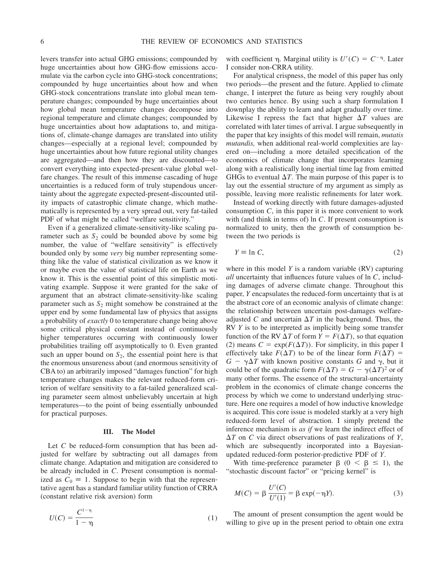levers transfer into actual GHG emissions; compounded by huge uncertainties about how GHG-flow emissions accumulate via the carbon cycle into GHG-stock concentrations; compounded by huge uncertainties about how and when GHG-stock concentrations translate into global mean temperature changes; compounded by huge uncertainties about how global mean temperature changes decompose into regional temperature and climate changes; compounded by huge uncertainties about how adaptations to, and mitigations of, climate-change damages are translated into utility changes—especially at a regional level; compounded by huge uncertainties about how future regional utility changes are aggregated—and then how they are discounted—to convert everything into expected-present-value global welfare changes. The result of this immense cascading of huge uncertainties is a reduced form of truly stupendous uncertainty about the aggregate expected-present-discounted utility impacts of catastrophic climate change, which mathematically is represented by a very spread out, very fat-tailed PDF of what might be called "welfare sensitivity."

Even if a generalized climate-sensitivity-like scaling parameter such as  $S_2$  could be bounded above by some big number, the value of "welfare sensitivity" is effectively bounded only by some *very* big number representing something like the value of statistical civilization as we know it or maybe even the value of statistical life on Earth as we know it. This is the essential point of this simplistic motivating example. Suppose it were granted for the sake of argument that an abstract climate-sensitivity-like scaling parameter such as  $S_2$  might somehow be constrained at the upper end by some fundamental law of physics that assigns a probability of *exactly* 0 to temperature change being above some critical physical constant instead of continuously higher temperatures occurring with continuously lower probabilities trailing off asymptotically to 0. Even granted such an upper bound on  $S_2$ , the essential point here is that the enormous unsureness about (and enormous sensitivity of CBA to) an arbitrarily imposed "damages function" for high temperature changes makes the relevant reduced-form criterion of welfare sensitivity to a fat-tailed generalized scaling parameter seem almost unbelievably uncertain at high temperatures—to the point of being essentially unbounded for practical purposes.

#### **III. The Model**

Let *C* be reduced-form consumption that has been adjusted for welfare by subtracting out all damages from climate change. Adaptation and mitigation are considered to be already included in *C*. Present consumption is normalized as  $C_0 \equiv 1$ . Suppose to begin with that the representative agent has a standard familiar utility function of CRRA (constant relative risk aversion) form

$$
U(C) = \frac{C^{1-\eta}}{1-\eta} \tag{1}
$$

with coefficient  $\eta$ . Marginal utility is  $U'(C) = C^{-\eta}$ . Later I consider non-CRRA utility.

For analytical crispness, the model of this paper has only two periods—the present and the future. Applied to climate change, I interpret the future as being very roughly about two centuries hence. By using such a sharp formulation I downplay the ability to learn and adapt gradually over time. Likewise I repress the fact that higher  $\Delta T$  values are correlated with later times of arrival. I argue subsequently in the paper that key insights of this model will remain, *mutatis mutandis,* when additional real-world complexities are layered on—including a more detailed specification of the economics of climate change that incorporates learning along with a realistically long inertial time lag from emitted GHGs to eventual  $\Delta T$ . The main purpose of this paper is to lay out the essential structure of my argument as simply as possible, leaving more realistic refinements for later work.

Instead of working directly with future damages-adjusted consumption *C*, in this paper it is more convenient to work with (and think in terms of) ln *C*. If present consumption is normalized to unity, then the growth of consumption between the two periods is

$$
Y \equiv \ln C,\tag{2}
$$

where in this model *Y* is a random variable (RV) capturing *all* uncertainty that influences future values of ln *C*, including damages of adverse climate change. Throughout this paper, *Y* encapsulates the reduced-form uncertainty that is at the abstract core of an economic analysis of climate change: the relationship between uncertain post-damages welfareadjusted *C* and uncertain  $\Delta T$  in the background. Thus, the RV *Y* is to be interpreted as implicitly being some transfer function of the RV  $\Delta T$  of form  $Y = F(\Delta T)$ , so that equation (2) means  $C = \exp(F(\Delta T))$ . For simplicity, in this paper I effectively take  $F(\Delta T)$  to be of the linear form  $F(\Delta T)$  =  $G - \gamma \Delta T$  with known positive constants *G* and  $\gamma$ , but it could be of the quadratic form  $F(\Delta T) = G - \gamma(\Delta T)^2$  or of many other forms. The essence of the structural-uncertainty problem in the economics of climate change concerns the process by which we come to understand underlying structure. Here one requires a model of how inductive knowledge is acquired. This core issue is modeled starkly at a very high reduced-form level of abstraction. I simply pretend the inference mechanism is *as if* we learn the indirect effect of *T* on *C* via direct observations of past realizations of *Y*, which are subsequently incorporated into a Bayesianupdated reduced-form posterior-predictive PDF of *Y*.

With time-preference parameter  $\beta$  ( $0 < \beta \le 1$ ), the "stochastic discount factor" or "pricing kernel" is

$$
M(C) = \beta \frac{U'(C)}{U'(1)} = \beta \exp(-\eta Y). \tag{3}
$$

The amount of present consumption the agent would be willing to give up in the present period to obtain one extra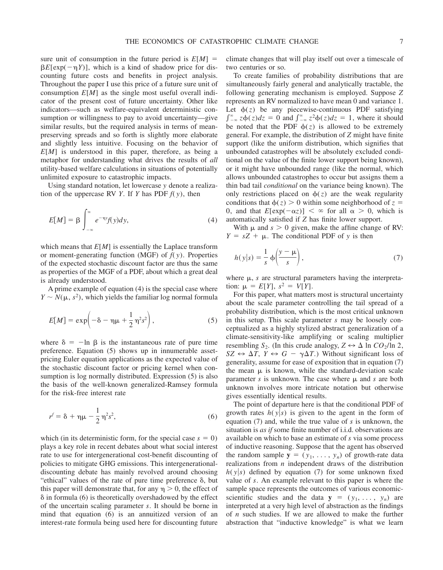sure unit of consumption in the future period is  $E[M]$  =  $\beta E[\exp(-\eta Y)]$ , which is a kind of shadow price for discounting future costs and benefits in project analysis. Throughout the paper I use this price of a future sure unit of consumption *E*[*M*] as the single most useful overall indicator of the present cost of future uncertainty. Other like indicators—such as welfare-equivalent deterministic consumption or willingness to pay to avoid uncertainty—give similar results, but the required analysis in terms of meanpreserving spreads and so forth is slightly more elaborate and slightly less intuitive. Focusing on the behavior of *E*[*M*] is understood in this paper, therefore, as being a metaphor for understanding what drives the results of *all* utility-based welfare calculations in situations of potentially unlimited exposure to catastrophic impacts.

Using standard notation, let lowercase *y* denote a realization of the uppercase RV *Y*. If *Y* has PDF *f*( *y*), then

$$
E[M] = \beta \int_{-\infty}^{\infty} e^{-\eta y} f(y) dy,
$$
 (4)

which means that *E*[*M*] is essentially the Laplace transform or moment-generating function (MGF) of *f*( *y*). Properties of the expected stochastic discount factor are thus the same as properties of the MGF of a PDF, about which a great deal is already understood.

A prime example of equation (4) is the special case where  $Y \sim N(\mu, s^2)$ , which yields the familiar log normal formula

$$
E[M] = \exp\left(-\delta - \eta\mu + \frac{1}{2}\eta^2 s^2\right),\tag{5}
$$

where  $\delta = -\ln \beta$  is the instantaneous rate of pure time preference. Equation (5) shows up in innumerable assetpricing Euler equation applications as the expected value of the stochastic discount factor or pricing kernel when consumption is log normally distributed. Expression (5) is also the basis of the well-known generalized-Ramsey formula for the risk-free interest rate

$$
r^f = \delta + \eta \mu - \frac{1}{2} \eta^2 s^2,
$$
\n<sup>(6)</sup>

which (in its deterministic form, for the special case  $s = 0$ ) plays a key role in recent debates about what social interest rate to use for intergenerational cost-benefit discounting of policies to mitigate GHG emissions. This intergenerationaldiscounting debate has mainly revolved around choosing "ethical" values of the rate of pure time preference  $\delta$ , but this paper will demonstrate that, for any  $\eta > 0$ , the effect of  $\delta$  in formula (6) is theoretically overshadowed by the effect of the uncertain scaling parameter *s*. It should be borne in mind that equation (6) is an annuitized version of an interest-rate formula being used here for discounting future

climate changes that will play itself out over a timescale of two centuries or so.

To create families of probability distributions that are simultaneously fairly general and analytically tractable, the following generating mechanism is employed. Suppose *Z* represents an RV normalized to have mean 0 and variance 1. Let  $\phi(z)$  be any piecewise-continuous PDF satisfying  $\int_{-\infty}^{\infty} z \phi(z) dz = 0$  and  $\int_{-\infty}^{\infty} z^2 \phi(z) dz = 1$ , where it should be noted that the PDF  $\phi(z)$  is allowed to be extremely general. For example, the distribution of *Z* might have finite support (like the uniform distribution, which signifies that unbounded catastrophes will be absolutely excluded conditional on the value of the finite lower support being known), or it might have unbounded range (like the normal, which allows unbounded catastrophes to occur but assigns them a thin bad tail *conditional* on the variance being known). The only restrictions placed on  $\phi(z)$  are the weak regularity conditions that  $\phi(z) > 0$  within some neighborhood of  $z =$ 0, and that  $E[\exp(-\alpha z)] < \infty$  for all  $\alpha > 0$ , which is automatically satisfied if *Z* has finite lower support.

With  $\mu$  and  $s > 0$  given, make the affine change of RV:  $Y = sZ + \mu$ . The conditional PDF of *y* is then

$$
h(y|s) = \frac{1}{s} \Phi\left(\frac{y - \mu}{s}\right),\tag{7}
$$

where  $\mu$ , *s* are structural parameters having the interpretation:  $\mu = E[Y], s^2 = V[Y].$ 

For this paper, what matters most is structural uncertainty about the scale parameter controlling the tail spread of a probability distribution, which is the most critical unknown in this setup. This scale parameter *s* may be loosely conceptualized as a highly stylized abstract generalization of a climate-sensitivity-like amplifying or scaling multiplier resembling *S*<sub>2</sub>. (In this crude analogy,  $Z \leftrightarrow \Delta$  ln  $CO_2/\ln 2$ ,  $SZ \leftrightarrow \Delta T$ ,  $Y \leftrightarrow G - \gamma \Delta T$ .) Without significant loss of generality, assume for ease of exposition that in equation (7) the mean  $\mu$  is known, while the standard-deviation scale parameter *s* is unknown. The case where  $\mu$  and *s* are both unknown involves more intricate notation but otherwise gives essentially identical results.

The point of departure here is that the conditional PDF of growth rates  $h(y|s)$  is given to the agent in the form of equation (7) and, while the true value of *s* is unknown, the situation is *as if* some finite number of i.i.d. observations are available on which to base an estimate of *s* via some process of inductive reasoning. Suppose that the agent has observed the random sample  $y = (y_1, \ldots, y_n)$  of growth-rate data realizations from *n* independent draws of the distribution  $h(y|s)$  defined by equation (7) for some unknown fixed value of *s*. An example relevant to this paper is where the sample space represents the outcomes of various economicscientific studies and the data  $y = (y_1, \ldots, y_n)$  are interpreted at a very high level of abstraction as the findings of *n* such studies. If we are allowed to make the further abstraction that "inductive knowledge" is what we learn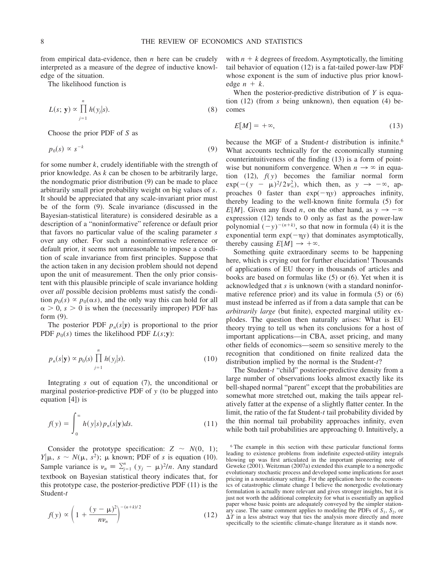from empirical data-evidence, then *n* here can be crudely interpreted as a measure of the degree of inductive knowledge of the situation.

The likelihood function is

$$
L(s; \mathbf{y}) \propto \prod_{j=1}^{n} h(y_j|s). \tag{8}
$$

Choose the prior PDF of *S* as

$$
p_0(s) \propto s^{-k} \tag{9}
$$

for some number *k*, crudely identifiable with the strength of prior knowledge. As *k* can be chosen to be arbitrarily large, the nondogmatic prior distribution (9) can be made to place arbitrarily small prior probability weight on big values of *s*. It should be appreciated that any scale-invariant prior must be of the form (9). Scale invariance (discussed in the Bayesian-statistical literature) is considered desirable as a description of a "noninformative" reference or default prior that favors no particular value of the scaling parameter *s* over any other. For such a noninformative reference or default prior, it seems not unreasonable to impose a condition of scale invariance from first principles. Suppose that the action taken in any decision problem should not depend upon the unit of measurement. Then the only prior consistent with this plausible principle of scale invariance holding over *all* possible decision problems must satisfy the condition  $p_0(s) \propto p_0(\alpha s)$ , and the only way this can hold for all  $\alpha > 0$ ,  $s > 0$  is when the (necessarily improper) PDF has form (9).

The posterior PDF  $p_n(s|y)$  is proportional to the prior PDF  $p_0(s)$  times the likelihood PDF  $L(s; y)$ :

$$
p_n(s|\mathbf{y}) \propto p_0(s) \prod_{j=1}^n h(y_j|s).
$$
 (10)

Integrating *s* out of equation (7), the unconditional or marginal posterior-predictive PDF of *y* (to be plugged into equation [4]) is

$$
f(y) = \int_0^\infty h(y|s) p_n(s|y) ds.
$$
 (11)

Consider the prototype specification:  $Z \sim N(0, 1)$ ;  $Y|\mu$ ,  $s \sim N(\mu, s^2)$ ;  $\mu$  known; PDF of *s* is equation (10). Sample variance is  $v_n = \sum_{j=1}^n (y_j - \mu)^2/n$ . Any standard textbook on Bayesian statistical theory indicates that, for this prototype case, the posterior-predictive PDF (11) is the Student-*t*

$$
f(y) \propto \left(1 + \frac{(y - \mu)^2}{n v_n}\right)^{-(n+k)/2} \tag{12}
$$

with  $n + k$  degrees of freedom. Asymptotically, the limiting tail behavior of equation (12) is a fat-tailed power-law PDF whose exponent is the sum of inductive plus prior knowledge  $n + k$ .

When the posterior-predictive distribution of *Y* is equation (12) (from *s* being unknown), then equation (4) becomes

$$
E[M] = +\infty,\tag{13}
$$

because the MGF of a Student-*t* distribution is infinite.<sup>6</sup> What accounts technically for the economically stunning counterintuitiveness of the finding (13) is a form of pointwise but nonuniform convergence. When  $n \to \infty$  in equation  $(12)$ ,  $f(y)$  becomes the familiar normal form  $exp(-(y - \mu)^2/2v_\infty^2)$ , which then, as  $y \to -\infty$ , approaches 0 faster than  $exp(-\eta y)$  approaches infinity, thereby leading to the well-known finite formula (5) for *E*[*M*]. Given any fixed *n*, on the other hand, as  $y \rightarrow -\infty$ expression (12) tends to 0 only as fast as the power-law polynomial  $(-y)^{-(n+k)}$ , so that now in formula (4) it is the exponential term  $exp(-\eta y)$  that dominates asymptotically, thereby causing  $E[M] \rightarrow +\infty$ .

Something quite extraordinary seems to be happening here, which is crying out for further elucidation! Thousands of applications of EU theory in thousands of articles and books are based on formulas like (5) or (6). Yet when it is acknowledged that *s* is unknown (with a standard noninformative reference prior) and its value in formula (5) or (6) must instead be inferred as if from a data sample that can be *arbitrarily large* (but finite), expected marginal utility explodes. The question then naturally arises: What is EU theory trying to tell us when its conclusions for a host of important applications—in CBA, asset pricing, and many other fields of economics—seem so sensitive merely to the recognition that conditioned on finite realized data the distribution implied by the normal is the Student-*t*?

The Student-*t* "child" posterior-predictive density from a large number of observations looks almost exactly like its bell-shaped normal "parent" except that the probabilities are somewhat more stretched out, making the tails appear relatively fatter at the expense of a slightly flatter center. In the limit, the ratio of the fat Student-*t* tail probability divided by the thin normal tail probability approaches infinity, even while both tail probabilities are approaching 0. Intuitively, a

<sup>6</sup> The example in this section with these particular functional forms leading to existence problems from indefinite expected-utility integrals blowing up was first articulated in the important pioneering note of Geweke (2001). Weitzman (2007a) extended this example to a nonergodic evolutionary stochastic process and developed some implications for asset pricing in a nonstationary setting. For the application here to the economics of catastrophic climate change I believe the nonergodic evolutionary formulation is actually more relevant and gives stronger insights, but it is just not worth the additional complexity for what is essentially an applied paper whose basic points are adequately conveyed by the simpler stationary case. The same comment applies to modeling the PDFs of  $S_1$ ,  $S_2$ , or  $\Delta T$  in a less abstract way that ties the analysis more directly and more specifically to the scientific climate-change literature as it stands now.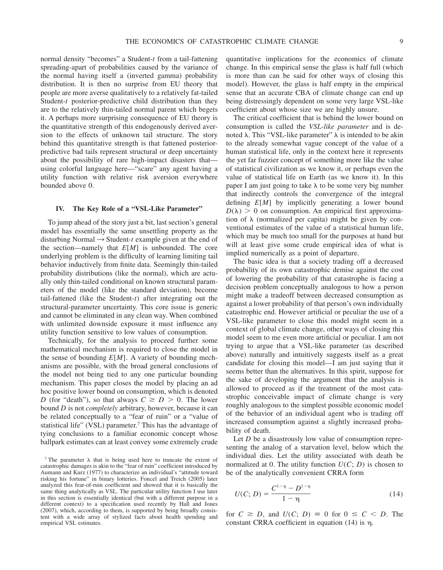normal density "becomes" a Student-*t* from a tail-fattening spreading-apart of probabilities caused by the variance of the normal having itself a (inverted gamma) probability distribution. It is then no surprise from EU theory that people are more averse qualitatively to a relatively fat-tailed Student-*t* posterior-predictive child distribution than they are to the relatively thin-tailed normal parent which begets it. A perhaps more surprising consequence of EU theory is the quantitative strength of this endogenously derived aversion to the effects of unknown tail structure. The story behind this quantitative strength is that fattened posteriorpredictive bad tails represent structural or deep uncertainty about the possibility of rare high-impact disasters that using colorful language here—"scare" any agent having a utility function with relative risk aversion everywhere bounded above 0.

#### **IV. The Key Role of a "VSL-Like Parameter"**

To jump ahead of the story just a bit, last section's general model has essentially the same unsettling property as the disturbing Normal  $\rightarrow$  Student-*t* example given at the end of the section—namely that *E*[*M*] is unbounded. The core underlying problem is the difficulty of learning limiting tail behavior inductively from finite data. Seemingly thin-tailed probability distributions (like the normal), which are actually only thin-tailed conditional on known structural parameters of the model (like the standard deviation), become tail-fattened (like the Student-*t*) after integrating out the structural-parameter uncertainty. This core issue is generic and cannot be eliminated in any clean way. When combined with unlimited downside exposure it must influence any utility function sensitive to low values of consumption.

Technically, for the analysis to proceed further some mathematical mechanism is required to close the model in the sense of bounding *E*[*M*]. A variety of bounding mechanisms are possible, with the broad general conclusions of the model not being tied to any one particular bounding mechanism. This paper closes the model by placing an ad hoc positive lower bound on consumption, which is denoted *D* (for "death"), so that always  $C \ge D > 0$ . The lower bound *D* is not *completely* arbitrary, however, because it can be related conceptually to a "fear of ruin" or a "value of statistical life" (VSL) parameter.7 This has the advantage of tying conclusions to a familiar economic concept whose ballpark estimates can at least convey some extremely crude

quantitative implications for the economics of climate change. In this empirical sense the glass is half full (which is more than can be said for other ways of closing this model). However, the glass is half empty in the empirical sense that an accurate CBA of climate change can end up being distressingly dependent on some very large VSL-like coefficient about whose size we are highly unsure.

The critical coefficient that is behind the lower bound on consumption is called the *VSL-like parameter* and is denoted  $\lambda$ . This "VSL-like parameter"  $\lambda$  is intended to be akin to the already somewhat vague concept of the value of a human statistical life, only in the context here it represents the yet far fuzzier concept of something more like the value of statistical civilization as we know it, or perhaps even the value of statistical life on Earth (as we know it). In this paper I am just going to take  $\lambda$  to be some very big number that indirectly controls the convergence of the integral defining *E*[*M*] by implicitly generating a lower bound  $D(\lambda) > 0$  on consumption. An empirical first approximation of  $\lambda$  (normalized per capita) might be given by conventional estimates of the value of a statistical human life, which may be much too small for the purposes at hand but will at least give some crude empirical idea of what is implied numerically as a point of departure.

The basic idea is that a society trading off a decreased probability of its own catastrophic demise against the cost of lowering the probability of that catastrophe is facing a decision problem conceptually analogous to how a person might make a tradeoff between decreased consumption as against a lower probability of that person's own individually catastrophic end. However artificial or peculiar the use of a VSL-like parameter to close this model might seem in a context of global climate change, other ways of closing this model seem to me even more artificial or peculiar. I am not trying to argue that a VSL-like parameter (as described above) naturally and intuitively suggests itself as a great candidate for closing this model—I am just saying that it seems better than the alternatives. In this spirit, suppose for the sake of developing the argument that the analysis is allowed to proceed as if the treatment of the most catastrophic conceivable impact of climate change is very roughly analogous to the simplest possible economic model of the behavior of an individual agent who is trading off increased consumption against a slightly increased probability of death.

Let *D* be a disastrously low value of consumption representing the analog of a starvation level, below which the individual dies. Let the utility associated with death be normalized at 0. The utility function  $U(C; D)$  is chosen to be of the analytically convenient CRRA form

$$
U(C; D) = \frac{C^{1-\eta} - D^{1-\eta}}{1-\eta}
$$
 (14)

for  $C \geq D$ , and  $U(C; D) \equiv 0$  for  $0 \leq C \leq D$ . The constant CRRA coefficient in equation  $(14)$  is  $\eta$ .

<sup>&</sup>lt;sup>7</sup> The parameter  $\lambda$  that is being used here to truncate the extent of catastrophic damages is akin to the "fear of ruin" coefficient introduced by Aumann and Kurz (1977) to characterize an individual's "attitude toward risking his fortune" in binary lotteries. Foncel and Treich (2005) later analyzed this fear-of-ruin coefficient and showed that it is basically the same thing analytically as VSL. The particular utility function I use later in this section is essentially identical (but with a different purpose in a different context) to a specification used recently by Hall and Jones (2007), which, according to them, is supported by being broadly consistent with a wide array of stylized facts about health spending and empirical VSL estimates.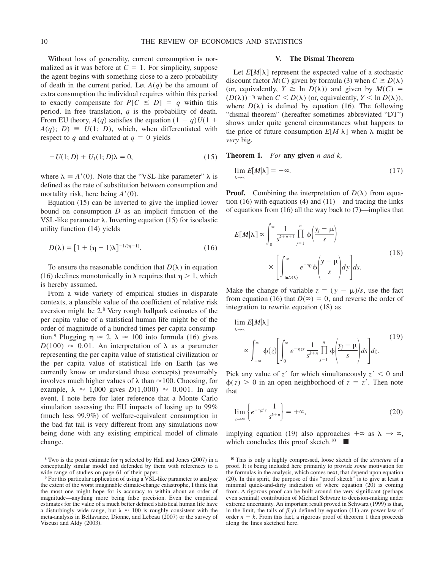Without loss of generality, current consumption is normalized as it was before at  $C = 1$ . For simplicity, suppose the agent begins with something close to a zero probability of death in the current period. Let  $A(q)$  be the amount of extra consumption the individual requires within this period to exactly compensate for  $P[C \leq D] = q$  within this period. In free translation, *q* is the probability of death. From EU theory,  $A(q)$  satisfies the equation  $(1 - q)U(1 + q)$  $A(q)$ ; *D*) =  $U(1; D)$ , which, when differentiated with respect to *q* and evaluated at  $q = 0$  yields

$$
-U(1;D) + U_1(1;D)\lambda = 0,
$$
\n(15)

where  $\lambda \equiv A'(0)$ . Note that the "VSL-like parameter"  $\lambda$  is defined as the rate of substitution between consumption and mortality risk, here being  $A'(0)$ .

Equation (15) can be inverted to give the implied lower bound on consumption *D* as an implicit function of the VSL-like parameter  $\lambda$ . Inverting equation (15) for isoelastic utility function (14) yields

$$
D(\lambda) = [1 + (\eta - 1)\lambda]^{-1/(\eta - 1)}.
$$
 (16)

To ensure the reasonable condition that  $D(\lambda)$  in equation (16) declines monotonically in  $\lambda$  requires that  $\eta > 1$ , which is hereby assumed.

From a wide variety of empirical studies in disparate contexts, a plausible value of the coefficient of relative risk aversion might be 2.8 Very rough ballpark estimates of the per capita value of a statistical human life might be of the order of magnitude of a hundred times per capita consumption.<sup>9</sup> Plugging  $\eta \approx 2$ ,  $\lambda \approx 100$  into formula (16) gives  $D(100) \approx 0.01$ . An interpretation of  $\lambda$  as a parameter representing the per capita value of statistical civilization or the per capita value of statistical life on Earth (as we currently know or understand these concepts) presumably involves much higher values of  $\lambda$  than  $\approx$  100. Choosing, for example,  $\lambda \approx 1,000$  gives  $D(1,000) \approx 0.001$ . In any event, I note here for later reference that a Monte Carlo simulation assessing the EU impacts of losing up to 99% (much less 99.9%) of welfare-equivalent consumption in the bad fat tail is very different from any simulations now being done with any existing empirical model of climate change.

#### **V. The Dismal Theorem**

Let  $E[M|\lambda]$  represent the expected value of a stochastic discount factor  $M(C)$  given by formula (3) when  $C \geq D(\lambda)$ (or, equivalently,  $Y \geq \ln D(\lambda)$ ) and given by  $M(C) =$  $(D(\lambda))^{-\eta}$  when  $C < D(\lambda)$  (or, equivalently,  $Y < \ln D(\lambda)$ ), where  $D(\lambda)$  is defined by equation (16). The following "dismal theorem" (hereafter sometimes abbreviated "DT") shows under quite general circumstances what happens to the price of future consumption  $E[M|\lambda]$  when  $\lambda$  might be *very* big.

**Theorem 1.** *For* **any given** *n and k,*

$$
\lim_{\lambda \to \infty} E[M|\lambda] = +\infty. \tag{17}
$$

**Proof.** Combining the interpretation of  $D(\lambda)$  from equation  $(16)$  with equations  $(4)$  and  $(11)$ —and tracing the links of equations from (16) all the way back to (7)—implies that

$$
E[M|\lambda] \propto \int_0^\infty \frac{1}{s^{k+n+1}} \prod_{j=1}^n \phi\left(\frac{y_j - \mu}{s}\right)
$$
  
 
$$
\times \left[ \int_{\ln D(\lambda)}^\infty e^{-\eta y} \phi\left(\frac{y - \mu}{s}\right) dy \right] ds.
$$
 (18)

Make the change of variable  $z = (y - \mu)/s$ , use the fact from equation (16) that  $D(\infty) = 0$ , and reverse the order of integration to rewrite equation (18) as

$$
\lim_{\lambda \to \infty} E[M|\lambda]
$$
\n
$$
\propto \int_{-\infty}^{\infty} \Phi(z) \left[ \int_{0}^{\infty} e^{-\eta z s} \frac{1}{s^{k+n}} \prod_{j=1}^{n} \Phi\left(\frac{y_{j} - \mu}{s}\right) ds \right] dz.
$$
\n(19)

Pick any value of  $z'$  for which simultaneously  $z' < 0$  and  $\phi(z) > 0$  in an open neighborhood of  $z = z'$ . Then note that

$$
\lim_{s \to \infty} \left\{ e^{-\eta z' s} \frac{1}{s^{k+n}} \right\} = +\infty, \tag{20}
$$

implying equation (19) also approaches  $+\infty$  as  $\lambda \to \infty$ , which concludes this proof sketch.<sup>10</sup>  $\blacksquare$ 

 $8$  Two is the point estimate for  $\eta$  selected by Hall and Jones (2007) in a conceptually similar model and defended by them with references to a wide range of studies on page 61 of their paper.

<sup>9</sup> For this particular application of using a VSL-like parameter to analyze the extent of the worst imaginable climate-change catastrophe, I think that the most one might hope for is accuracy to within about an order of magnitude—anything more being false precision. Even the empirical estimates for the value of a much better defined statistical human life have a disturbingly wide range, but  $\lambda \approx 100$  is roughly consistent with the meta-analysis in Bellavance, Dionne, and Lebeau (2007) or the survey of Viscusi and Aldy (2003).

<sup>10</sup> This is only a highly compressed, loose sketch of the *structure* of a proof. It is being included here primarily to provide *some* motivation for the formulas in the analysis, which comes next, that depend upon equation (20). In this spirit, the purpose of this "proof sketch" is to give at least a minimal quick-and-dirty indication of where equation (20) is coming from. A rigorous proof can be built around the very significant (perhaps even seminal) contribution of Michael Schwarz to decision-making under extreme uncertainty. An important result proved in Schwarz (1999) is that, in the limit, the tails of  $f(y)$  defined by equation (11) are power-law of order  $n + k$ . From this fact, a rigorous proof of theorem 1 then proceeds along the lines sketched here.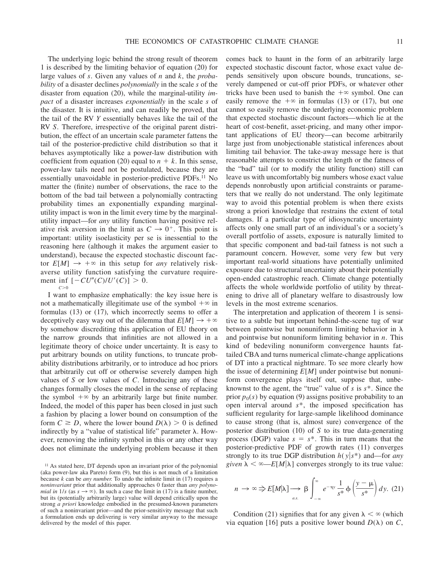The underlying logic behind the strong result of theorem 1 is described by the limiting behavior of equation (20) for large values of *s*. Given any values of *n* and *k*, the *probability* of a disaster declines *polynomially* in the scale *s* of the disaster from equation (20), while the marginal-utility *impact* of a disaster increases *exponentially* in the scale *s* of the disaster. It is intuitive, and can readily be proved, that the tail of the RV *Y* essentially behaves like the tail of the RV *S*. Therefore, irrespective of the original parent distribution, the effect of an uncertain scale parameter fattens the tail of the posterior-predictive child distribution so that it behaves asymptotically like a power-law distribution with coefficient from equation (20) equal to  $n + k$ . In this sense, power-law tails need not be postulated, because they are essentially unavoidable in posterior-predictive PDFs.11 No matter the (finite) number of observations, the race to the bottom of the bad tail between a polynomially contracting probability times an exponentially expanding marginalutility impact is won in the limit every time by the marginalutility impact—for *any* utility function having positive relative risk aversion in the limit as  $C \rightarrow 0^+$ . This point is important: utility isoelasticity per se is inessential to the reasoning here (although it makes the argument easier to understand), because the expected stochastic discount factor  $E[M] \rightarrow +\infty$  in this setup for *any* relatively riskaverse utility function satisfying the curvature requirement inf  $[-CU''(C)/U'(C)] > 0$ .  $C > 0$ 

I want to emphasize emphatically: the key issue here is not a mathematically illegitimate use of the symbol  $+\infty$  in formulas (13) or (17), which incorrectly seems to offer a deceptively easy way out of the dilemma that  $E[M] \rightarrow +\infty$ by somehow discrediting this application of EU theory on the narrow grounds that infinities are not allowed in a legitimate theory of choice under uncertainty. It is easy to put arbitrary bounds on utility functions, to truncate probability distributions arbitrarily, or to introduce ad hoc priors that arbitrarily cut off or otherwise severely dampen high values of *S* or low values of *C*. Introducing any of these changes formally closes the model in the sense of replacing the symbol  $+\infty$  by an arbitrarily large but finite number. Indeed, the model of this paper has been closed in just such a fashion by placing a lower bound on consumption of the form  $C \geq D$ , where the lower bound  $D(\lambda) > 0$  is defined indirectly by a "value of statistical life" parameter  $\lambda$ . However, removing the infinity symbol in this or any other way does not eliminate the underlying problem because it then

comes back to haunt in the form of an arbitrarily large expected stochastic discount factor, whose exact value depends sensitively upon obscure bounds, truncations, severely dampened or cut-off prior PDFs, or whatever other tricks have been used to banish the  $+\infty$  symbol. One can easily remove the  $+\infty$  in formulas (13) or (17), but one cannot so easily remove the underlying economic problem that expected stochastic discount factors—which lie at the heart of cost-benefit, asset-pricing, and many other important applications of EU theory—can become arbitrarily large just from unobjectionable statistical inferences about limiting tail behavior. The take-away message here is that reasonable attempts to constrict the length or the fatness of the "bad" tail (or to modify the utility function) still can leave us with uncomfortably big numbers whose exact value depends nonrobustly upon artificial constraints or parameters that we really do not understand. The only legitimate way to avoid this potential problem is when there exists strong a priori knowledge that restrains the extent of total damages. If a particular type of idiosyncratic uncertainty affects only one small part of an individual's or a society's overall portfolio of assets, exposure is naturally limited to that specific component and bad-tail fatness is not such a paramount concern. However, some very few but very important real-world situations have potentially unlimited exposure due to structural uncertainty about their potentially open-ended catastrophic reach. Climate change potentially affects the whole worldwide portfolio of utility by threatening to drive all of planetary welfare to disastrously low levels in the most extreme scenarios.

The interpretation and application of theorem 1 is sensitive to a subtle but important behind-the-scene tug of war between pointwise but nonuniform limiting behavior in  $\lambda$ and pointwise but nonuniform limiting behavior in *n*. This kind of bedeviling nonuniform convergence haunts fattailed CBA and turns numerical climate-change applications of DT into a practical nightmare. To see more clearly how the issue of determining *E*[*M*] under pointwise but nonuniform convergence plays itself out, suppose that, unbeknownst to the agent, the "true" value of *s* is *s*\*. Since the prior  $p_0(s)$  by equation (9) assigns positive probability to an open interval around *s*\*, the imposed specification has sufficient regularity for large-sample likelihood dominance to cause strong (that is, almost sure) convergence of the posterior distribution (10) of *S* to its true data-generating process (DGP) value  $s = s^*$ . This in turn means that the posterior-predictive PDF of growth rates (11) converges strongly to its true DGP distribution *h*( *ys*\*) and—for *any given*  $\lambda < \infty$ —*E*[*M*| $\lambda$ ] converges strongly to its true value:

$$
n \to \infty \Rightarrow E[M|\lambda] \longrightarrow \beta \int_{-\infty}^{\infty} e^{-\eta y} \frac{1}{s^*} \phi \left(\frac{y-\mu}{s^*}\right) dy. (21)
$$

Condition (21) signifies that for any given  $\lambda < \infty$  (which via equation [16] puts a positive lower bound  $D(\lambda)$  on *C*,

<sup>&</sup>lt;sup>11</sup> As stated here, DT depends upon an invariant prior of the polynomial (aka power-law aka Pareto) form (9), but this is not much of a limitation because *k* can be *any number.* To undo the infinite limit in (17) requires a *noninvariant* prior that additionally approaches 0 faster than *any polynomial in*  $1/s$  (as  $s \rightarrow \infty$ ). In such a case the limit in (17) is a finite number, but its (potentially arbitrarily large) value will depend critically upon the strong *a priori* knowledge embodied in the presumed-known parameters of such a noninvariant prior—and the prior-sensitivity message that such a formulation ends up delivering is very similar anyway to the message delivered by the model of this paper.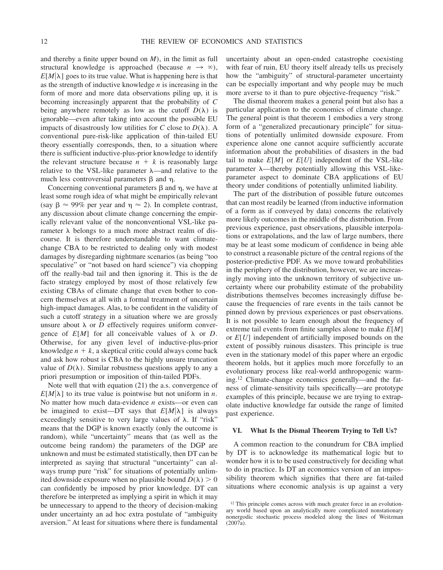and thereby a finite upper bound on *M*), in the limit as full structural knowledge is approached (because  $n \to \infty$ ),  $E[M|\lambda]$  goes to its true value. What is happening here is that as the strength of inductive knowledge *n* is increasing in the form of more and more data observations piling up, it is becoming increasingly apparent that the probability of *C* being anywhere remotely as low as the cutoff  $D(\lambda)$  is ignorable—even after taking into account the possible EU impacts of disastrously low utilities for *C* close to  $D(\lambda)$ . A conventional pure-risk-like application of thin-tailed EU theory essentially corresponds, then, to a situation where there is sufficient inductive-plus-prior knowledge to identify the relevant structure because  $n + k$  is reasonably large relative to the VSL-like parameter  $\lambda$ —and relative to the much less controversial parameters  $\beta$  and  $\eta$ .

Concerning conventional parameters  $\beta$  and  $\eta$ , we have at least some rough idea of what might be empirically relevant (say  $\beta \approx 99\%$  per year and  $\eta \approx 2$ ). In complete contrast, any discussion about climate change concerning the empirically relevant value of the nonconventional VSL-like parameter  $\lambda$  belongs to a much more abstract realm of discourse. It is therefore understandable to want climatechange CBA to be restricted to dealing only with modest damages by disregarding nightmare scenarios (as being "too speculative" or "not based on hard science") via chopping off the really-bad tail and then ignoring it. This is the de facto strategy employed by most of those relatively few existing CBAs of climate change that even bother to concern themselves at all with a formal treatment of uncertain high-impact damages. Alas, to be confident in the validity of such a cutoff strategy in a situation where we are grossly unsure about  $\lambda$  or *D* effectively requires uniform convergence of  $E[M]$  for all conceivable values of  $\lambda$  or *D*. Otherwise, for any given level of inductive-plus-prior knowledge  $n + k$ , a skeptical critic could always come back and ask how robust is CBA to the highly unsure truncation value of  $D(\lambda)$ . Similar robustness questions apply to any a priori presumption or imposition of thin-tailed PDFs.

Note well that with equation (21) the a.s. convergence of  $E[M|\lambda]$  to its true value is pointwise but not uniform in *n*. No matter how much data-evidence *n* exists—or even can be imagined to exist—DT says that  $E[M|\lambda]$  is always exceedingly sensitive to very large values of  $\lambda$ . If "risk" means that the DGP is known exactly (only the outcome is random), while "uncertainty" means that (as well as the outcome being random) the parameters of the DGP are unknown and must be estimated statistically, then DT can be interpreted as saying that structural "uncertainty" can always trump pure "risk" for situations of potentially unlimited downside exposure when no plausible bound  $D(\lambda) > 0$ can confidently be imposed by prior knowledge. DT can therefore be interpreted as implying a spirit in which it may be unnecessary to append to the theory of decision-making under uncertainty an ad hoc extra postulate of "ambiguity aversion." At least for situations where there is fundamental uncertainty about an open-ended catastrophe coexisting with fear of ruin, EU theory itself already tells us precisely how the "ambiguity" of structural-parameter uncertainty can be especially important and why people may be much more averse to it than to pure objective-frequency "risk."

The dismal theorem makes a general point but also has a particular application to the economics of climate change. The general point is that theorem 1 embodies a very strong form of a "generalized precautionary principle" for situations of potentially unlimited downside exposure. From experience alone one cannot acquire sufficiently accurate information about the probabilities of disasters in the bad tail to make  $E[M]$  or  $E[U]$  independent of the VSL-like parameter  $\lambda$ —thereby potentially allowing this VSL-likeparameter aspect to dominate CBA applications of EU theory under conditions of potentially unlimited liability.

The part of the distribution of possible future outcomes that can most readily be learned (from inductive information of a form as if conveyed by data) concerns the relatively more likely outcomes in the middle of the distribution. From previous experience, past observations, plausible interpolations or extrapolations, and the law of large numbers, there may be at least some modicum of confidence in being able to construct a reasonable picture of the central regions of the posterior-predictive PDF. As we move toward probabilities in the periphery of the distribution, however, we are increasingly moving into the unknown territory of subjective uncertainty where our probability estimate of the probability distributions themselves becomes increasingly diffuse because the frequencies of rare events in the tails cannot be pinned down by previous experiences or past observations. It is not possible to learn enough about the frequency of extreme tail events from finite samples alone to make *E*[*M*] or *E*[*U*] independent of artificially imposed bounds on the extent of possibly ruinous disasters. This principle is true even in the stationary model of this paper where an ergodic theorem holds, but it applies much more forcefully to an evolutionary process like real-world anthropogenic warming.12 Climate-change economics generally—and the fatness of climate-sensitivity tails specifically—are prototype examples of this principle, because we are trying to extrapolate inductive knowledge far outside the range of limited past experience.

#### **VI. What Is the Dismal Theorem Trying to Tell Us?**

A common reaction to the conundrum for CBA implied by DT is to acknowledge its mathematical logic but to wonder how it is to be used constructively for deciding what to do in practice. Is DT an economics version of an impossibility theorem which signifies that there are fat-tailed situations where economic analysis is up against a very

<sup>&</sup>lt;sup>12</sup> This principle comes across with much greater force in an evolutionary world based upon an analytically more complicated nonstationary nonergodic stochastic process modeled along the lines of Weitzman (2007a).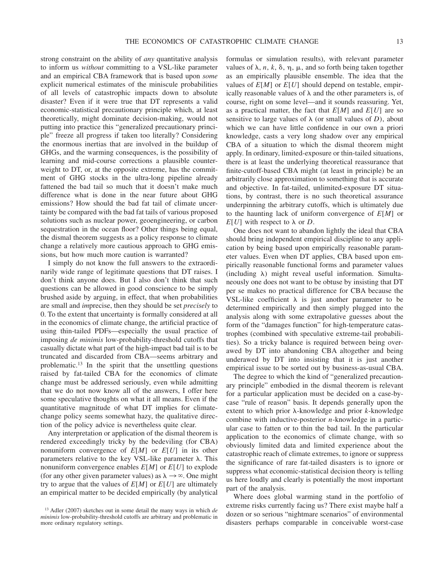strong constraint on the ability of *any* quantitative analysis to inform us *without* committing to a VSL-like parameter and an empirical CBA framework that is based upon *some* explicit numerical estimates of the miniscule probabilities of all levels of catastrophic impacts down to absolute disaster? Even if it were true that DT represents a valid economic-statistical precautionary principle which, at least theoretically, might dominate decision-making, would not putting into practice this "generalized precautionary principle" freeze all progress if taken too literally? Considering the enormous inertias that are involved in the buildup of GHGs, and the warming consequences, is the possibility of learning and mid-course corrections a plausible counterweight to DT, or, at the opposite extreme, has the commitment of GHG stocks in the ultra-long pipeline already fattened the bad tail so much that it doesn't make much difference what is done in the near future about GHG emissions? How should the bad fat tail of climate uncertainty be compared with the bad fat tails of various proposed solutions such as nuclear power, geoengineering, or carbon sequestration in the ocean floor? Other things being equal, the dismal theorem suggests as a policy response to climate change a relatively more cautious approach to GHG emissions, but how much more caution is warranted?

I simply do not know the full answers to the extraordinarily wide range of legitimate questions that DT raises. I don't think anyone does. But I also don't think that such questions can be allowed in good conscience to be simply brushed aside by arguing, in effect, that when probabilities are small and *im*precise, then they should be set *precisely* to 0. To the extent that uncertainty is formally considered at all in the economics of climate change, the artificial practice of using thin-tailed PDFs—especially the usual practice of imposing *de minimis* low-probability-threshold cutoffs that casually dictate what part of the high-impact bad tail is to be truncated and discarded from CBA—seems arbitrary and problematic.13 In the spirit that the unsettling questions raised by fat-tailed CBA for the economics of climate change must be addressed seriously, even while admitting that we do not now know all of the answers, I offer here some speculative thoughts on what it all means. Even if the quantitative magnitude of what DT implies for climatechange policy seems somewhat hazy, the qualitative direction of the policy advice is nevertheless quite clear.

Any interpretation or application of the dismal theorem is rendered exceedingly tricky by the bedeviling (for CBA) nonuniform convergence of *E*[*M*] or *E*[*U*] in its other parameters relative to the key VSL-like parameter  $\lambda$ . This nonuniform convergence enables *E*[*M*] or *E*[*U*] to explode (for any other given parameter values) as  $\lambda \rightarrow \infty$ . One might try to argue that the values of  $E[M]$  or  $E[U]$  are ultimately an empirical matter to be decided empirically (by analytical formulas or simulation results), with relevant parameter values of  $\lambda$ , *n*, *k*,  $\delta$ ,  $\eta$ ,  $\mu$ , and so forth being taken together as an empirically plausible ensemble. The idea that the values of *E*[*M*] or *E*[*U*] should depend on testable, empirically reasonable values of  $\lambda$  and the other parameters is, of course, right on some level—and it sounds reassuring. Yet, as a practical matter, the fact that  $E[M]$  and  $E[U]$  are so sensitive to large values of  $\lambda$  (or small values of *D*), about which we can have little confidence in our own a priori knowledge, casts a very long shadow over any empirical CBA of a situation to which the dismal theorem might apply. In ordinary, limited-exposure or thin-tailed situations, there is at least the underlying theoretical reassurance that finite-cutoff-based CBA might (at least in principle) be an arbitrarily close approximation to something that is accurate and objective. In fat-tailed, unlimited-exposure DT situations, by contrast, there is no such theoretical assurance underpinning the arbitrary cutoffs, which is ultimately due to the haunting lack of uniform convergence of *E*[*M*] or *E*[ $U$ ] with respect to  $\lambda$  or  $D$ .

One does not want to abandon lightly the ideal that CBA should bring independent empirical discipline to any application by being based upon empirically reasonable parameter values. Even when DT applies, CBA based upon empirically reasonable functional forms and parameter values (including  $\lambda$ ) might reveal useful information. Simultaneously one does not want to be obtuse by insisting that DT per se makes no practical difference for CBA because the VSL-like coefficient  $\lambda$  is just another parameter to be determined empirically and then simply plugged into the analysis along with some extrapolative guesses about the form of the "damages function" for high-temperature catastrophes (combined with speculative extreme-tail probabilities). So a tricky balance is required between being overawed by DT into abandoning CBA altogether and being underawed by DT into insisting that it is just another empirical issue to be sorted out by business-as-usual CBA.

The degree to which the kind of "generalized precautionary principle" embodied in the dismal theorem is relevant for a particular application must be decided on a case-bycase "rule of reason" basis. It depends generally upon the extent to which prior  $\lambda$ -knowledge and prior *k*-knowledge combine with inductive-posterior *n*-knowledge in a particular case to fatten or to thin the bad tail. In the particular application to the economics of climate change, with so obviously limited data and limited experience about the catastrophic reach of climate extremes, to ignore or suppress the significance of rare fat-tailed disasters is to ignore or suppress what economic-statistical decision theory is telling us here loudly and clearly is potentially the most important part of the analysis.

Where does global warming stand in the portfolio of extreme risks currently facing us? There exist maybe half a dozen or so serious "nightmare scenarios" of environmental disasters perhaps comparable in conceivable worst-case

<sup>13</sup> Adler (2007) sketches out in some detail the many ways in which *de minimis* low-probability-threshold cutoffs are arbitrary and problematic in more ordinary regulatory settings.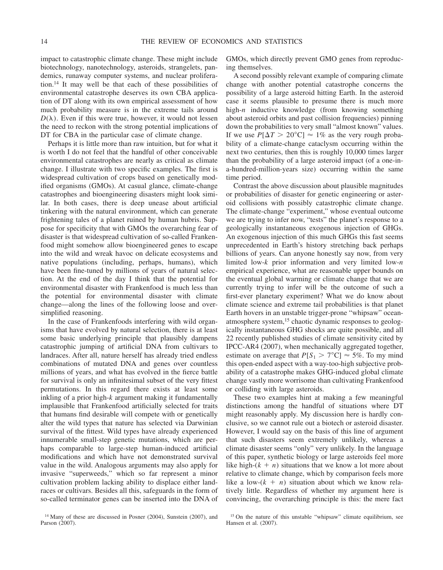impact to catastrophic climate change. These might include biotechnology, nanotechnology, asteroids, strangelets, pandemics, runaway computer systems, and nuclear proliferation.14 It may well be that each of these possibilities of environmental catastrophe deserves its own CBA application of DT along with its own empirical assessment of how much probability measure is in the extreme tails around  $D(\lambda)$ . Even if this were true, however, it would not lessen the need to reckon with the strong potential implications of DT for CBA in the particular case of climate change.

Perhaps it is little more than raw intuition, but for what it is worth I do not feel that the handful of other conceivable environmental catastrophes are nearly as critical as climate change. I illustrate with two specific examples. The first is widespread cultivation of crops based on genetically modified organisms (GMOs). At casual glance, climate-change catastrophes and bioengineering disasters might look similar. In both cases, there is deep unease about artificial tinkering with the natural environment, which can generate frightening tales of a planet ruined by human hubris. Suppose for specificity that with GMOs the overarching fear of disaster is that widespread cultivation of so-called Frankenfood might somehow allow bioengineered genes to escape into the wild and wreak havoc on delicate ecosystems and native populations (including, perhaps, humans), which have been fine-tuned by millions of years of natural selection. At the end of the day I think that the potential for environmental disaster with Frankenfood is much less than the potential for environmental disaster with climate change—along the lines of the following loose and oversimplified reasoning.

In the case of Frankenfoods interfering with wild organisms that have evolved by natural selection, there is at least some basic underlying principle that plausibly dampens catastrophic jumping of artificial DNA from cultivars to landraces. After all, nature herself has already tried endless combinations of mutated DNA and genes over countless millions of years, and what has evolved in the fierce battle for survival is only an infinitesimal subset of the very fittest permutations. In this regard there exists at least some inkling of a prior high-*k* argument making it fundamentally implausible that Frankenfood artificially selected for traits that humans find desirable will compete with or genetically alter the wild types that nature has selected via Darwinian survival of the fittest. Wild types have already experienced innumerable small-step genetic mutations, which are perhaps comparable to large-step human-induced artificial modifications and which have not demonstrated survival value in the wild. Analogous arguments may also apply for invasive "superweeds," which so far represent a minor cultivation problem lacking ability to displace either landraces or cultivars. Besides all this, safeguards in the form of so-called terminator genes can be inserted into the DNA of GMOs, which directly prevent GMO genes from reproducing themselves.

A second possibly relevant example of comparing climate change with another potential catastrophe concerns the possibility of a large asteroid hitting Earth. In the asteroid case it seems plausible to presume there is much more high-*n* inductive knowledge (from knowing something about asteroid orbits and past collision frequencies) pinning down the probabilities to very small "almost known" values. If we use  $P[\Delta T > 20^{\circ}\text{C}] \approx 1\%$  as the very rough probability of a climate-change cataclysm occurring within the next two centuries, then this is roughly 10,000 times larger than the probability of a large asteroid impact (of a one-ina-hundred-million-years size) occurring within the same time period.

Contrast the above discussion about plausible magnitudes or probabilities of disaster for genetic engineering or asteroid collisions with possibly catastrophic climate change. The climate-change "experiment," whose eventual outcome we are trying to infer now, "tests" the planet's response to a geologically instantaneous exogenous injection of GHGs. An exogenous injection of this much GHGs this fast seems unprecedented in Earth's history stretching back perhaps billions of years. Can anyone honestly say now, from very limited low-*k* prior information and very limited low-*n* empirical experience, what are reasonable upper bounds on the eventual global warming or climate change that we are currently trying to infer will be the outcome of such a first-ever planetary experiment? What we do know about climate science and extreme tail probabilities is that planet Earth hovers in an unstable trigger-prone "whipsaw" oceanatmosphere system,15 chaotic dynamic responses to geologically instantaneous GHG shocks are quite possible, and all 22 recently published studies of climate sensitivity cited by IPCC-AR4 (2007), when mechanically aggregated together, estimate on average that  $P[S_1 > 7^{\circ}C] \approx 5\%$ . To my mind this open-ended aspect with a way-too-high subjective probability of a catastrophe makes GHG-induced global climate change vastly more worrisome than cultivating Frankenfood or colliding with large asteroids.

These two examples hint at making a few meaningful distinctions among the handful of situations where DT might reasonably apply. My discussion here is hardly conclusive, so we cannot rule out a biotech or asteroid disaster. However, I would say on the basis of this line of argument that such disasters seem extremely unlikely, whereas a climate disaster seems "only" very unlikely. In the language of this paper, synthetic biology or large asteroids feel more like high- $(k + n)$  situations that we know a lot more about relative to climate change, which by comparison feels more like a low- $(k + n)$  situation about which we know relatively little. Regardless of whether my argument here is convincing, the overarching principle is this: the mere fact

<sup>&</sup>lt;sup>14</sup> Many of these are discussed in Posner (2004), Sunstein (2007), and Parson (2007).

<sup>&</sup>lt;sup>15</sup> On the nature of this unstable "whipsaw" climate equilibrium, see Hansen et al. (2007).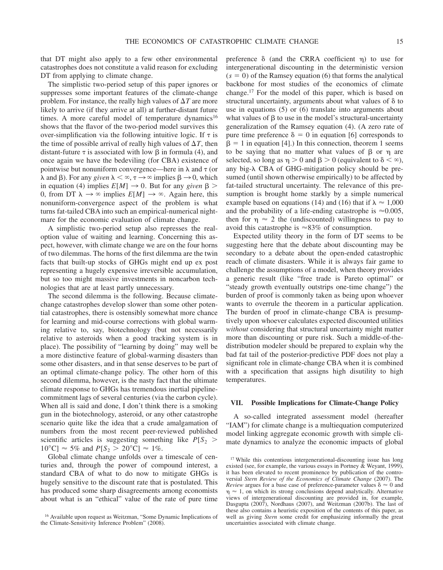that DT might also apply to a few other environmental catastrophes does not constitute a valid reason for excluding DT from applying to climate change.

The simplistic two-period setup of this paper ignores or suppresses some important features of the climate-change problem. For instance, the really high values of  $\Delta T$  are more likely to arrive (if they arrive at all) at further-distant future times. A more careful model of temperature dynamics<sup>16</sup> shows that the flavor of the two-period model survives this over-simplification via the following intuitive logic. If  $\tau$  is the time of possible arrival of really high values of  $\Delta T$ , then distant-future  $\tau$  is associated with low  $\beta$  in formula (4), and once again we have the bedeviling (for CBA) existence of pointwise but nonuniform convergence—here in  $\lambda$  and  $\tau$  (or  $\lambda$  and  $\beta$ ). For any *given*  $\lambda < \infty$ ,  $\tau \rightarrow \infty$  implies  $\beta \rightarrow 0$ , which in equation (4) implies  $E[M] \rightarrow 0$ . But for any *given*  $\beta$ 0, from DT  $\lambda \to \infty$  implies  $E[M] \to \infty$ . Again here, this nonuniform-convergence aspect of the problem is what turns fat-tailed CBA into such an empirical-numerical nightmare for the economic evaluation of climate change.

A simplistic two-period setup also represses the realoption value of waiting and learning. Concerning this aspect, however, with climate change we are on the four horns of two dilemmas. The horns of the first dilemma are the twin facts that built-up stocks of GHGs might end up ex post representing a hugely expensive irreversible accumulation, but so too might massive investments in noncarbon technologies that are at least partly unnecessary.

The second dilemma is the following. Because climatechange catastrophes develop slower than some other potential catastrophes, there is ostensibly somewhat more chance for learning and mid-course corrections with global warming relative to, say, biotechnology (but not necessarily relative to asteroids when a good tracking system is in place). The possibility of "learning by doing" may well be a more distinctive feature of global-warming disasters than some other disasters, and in that sense deserves to be part of an optimal climate-change policy. The other horn of this second dilemma, however, is the nasty fact that the ultimate climate response to GHGs has tremendous inertial pipelinecommitment lags of several centuries (via the carbon cycle). When all is said and done, I don't think there is a smoking gun in the biotechnology, asteroid, or any other catastrophe scenario quite like the idea that a crude amalgamation of numbers from the most recent peer-reviewed published scientific articles is suggesting something like  $P[S_2 >$  $10^{\circ}$ C]  $\approx$  5% and  $P[S_2 > 20^{\circ}$ C]  $\approx$  1%.

Global climate change unfolds over a timescale of centuries and, through the power of compound interest, a standard CBA of what to do now to mitigate GHGs is hugely sensitive to the discount rate that is postulated. This has produced some sharp disagreements among economists about what is an "ethical" value of the rate of pure time preference  $\delta$  (and the CRRA coefficient  $\eta$ ) to use for intergenerational discounting in the deterministic version  $(s = 0)$  of the Ramsey equation (6) that forms the analytical backbone for most studies of the economics of climate change.17 For the model of this paper, which is based on structural uncertainty, arguments about what values of  $\delta$  to use in equations (5) or (6) translate into arguments about what values of  $\beta$  to use in the model's structural-uncertainty generalization of the Ramsey equation (4). (A zero rate of pure time preference  $\delta = 0$  in equation [6] corresponds to  $\beta = 1$  in equation [4].) In this connection, theorem 1 seems to be saying that no matter what values of  $\beta$  or  $\eta$  are selected, so long as  $\eta > 0$  and  $\beta > 0$  (equivalent to  $\delta < \infty$ ), any big- $\lambda$  CBA of GHG-mitigation policy should be presumed (until shown otherwise empirically) to be affected by fat-tailed structural uncertainty. The relevance of this presumption is brought home starkly by a simple numerical example based on equations (14) and (16) that if  $\lambda \approx 1,000$ and the probability of a life-ending catastrophe is  $\approx 0.005$ , then for  $\eta \approx 2$  the (undiscounted) willingness to pay to avoid this catastrophe is  $\approx 83\%$  of consumption.

Expected utility theory in the form of DT seems to be suggesting here that the debate about discounting may be secondary to a debate about the open-ended catastrophic reach of climate disasters. While it is always fair game to challenge the assumptions of a model, when theory provides a generic result (like "free trade is Pareto optimal" or "steady growth eventually outstrips one-time change") the burden of proof is commonly taken as being upon whoever wants to overrule the theorem in a particular application. The burden of proof in climate-change CBA is presumptively upon whoever calculates expected discounted utilities *without* considering that structural uncertainty might matter more than discounting or pure risk. Such a middle-of-thedistribution modeler should be prepared to explain why the bad fat tail of the posterior-predictive PDF does not play a significant role in climate-change CBA when it is combined with a specification that assigns high disutility to high temperatures.

#### **VII. Possible Implications for Climate-Change Policy**

A so-called integrated assessment model (hereafter "IAM") for climate change is a multiequation computerized model linking aggregate economic growth with simple climate dynamics to analyze the economic impacts of global

<sup>16</sup> Available upon request as Weitzman, "Some Dynamic Implications of the Climate-Sensitivity Inference Problem" (2008).

<sup>&</sup>lt;sup>17</sup> While this contentious intergenerational-discounting issue has long existed (see, for example, the various essays in Portney & Weyant, 1999), it has been elevated to recent prominence by publication of the controversial *Stern Review of the Economics of Climate Change* (2007). The *Review* argues for a base case of preference-parameter values  $\delta \approx 0$  and  $\eta \approx 1$ , on which its strong conclusions depend analytically. Alternative views of intergenerational discounting are provided in, for example, Dasgupta (2007), Nordhaus (2007), and Weitzman (2007b). The last of these also contains a heuristic exposition of the contents of this paper, as well as giving *Stern* some credit for emphasizing informally the great uncertainties associated with climate change.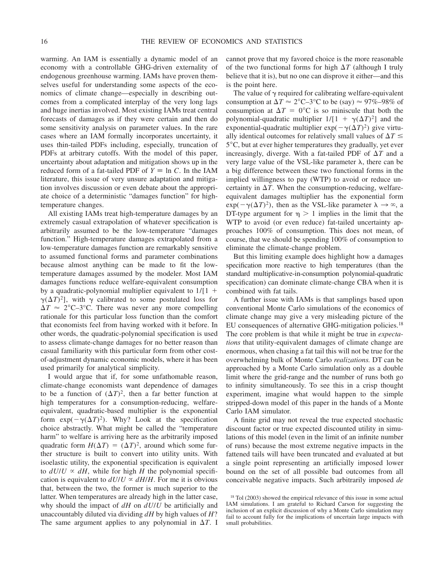warming. An IAM is essentially a dynamic model of an economy with a controllable GHG-driven externality of endogenous greenhouse warming. IAMs have proven themselves useful for understanding some aspects of the economics of climate change—especially in describing outcomes from a complicated interplay of the very long lags and huge inertias involved. Most existing IAMs treat central forecasts of damages as if they were certain and then do some sensitivity analysis on parameter values. In the rare cases where an IAM formally incorporates uncertainty, it uses thin-tailed PDFs including, especially, truncation of PDFs at arbitrary cutoffs. With the model of this paper, uncertainty about adaptation and mitigation shows up in the reduced form of a fat-tailed PDF of  $Y \equiv \ln C$ . In the IAM literature, this issue of very unsure adaptation and mitigation involves discussion or even debate about the appropriate choice of a deterministic "damages function" for hightemperature changes.

All existing IAMs treat high-temperature damages by an extremely casual extrapolation of whatever specification is arbitrarily assumed to be the low-temperature "damages function." High-temperature damages extrapolated from a low-temperature damages function are remarkably sensitive to assumed functional forms and parameter combinations because almost anything can be made to fit the lowtemperature damages assumed by the modeler. Most IAM damages functions reduce welfare-equivalent consumption by a quadratic-polynomial multiplier equivalent to  $1/[1 +$  $\gamma(\Delta T)^2$ ], with  $\gamma$  calibrated to some postulated loss for  $\Delta T \approx 2^{\circ}$ C–3°C. There was never any more compelling rationale for this particular loss function than the comfort that economists feel from having worked with it before. In other words, the quadratic-polynomial specification is used to assess climate-change damages for no better reason than casual familiarity with this particular form from other costof-adjustment dynamic economic models, where it has been used primarily for analytical simplicity.

I would argue that if, for some unfathomable reason, climate-change economists want dependence of damages to be a function of  $(\Delta T)^2$ , then a far better function at high temperatures for a consumption-reducing, welfareequivalent, quadratic-based multiplier is the exponential form  $\exp(-\gamma(\Delta T)^2)$ . Why? Look at the specification choice abstractly. What might be called the "temperature harm" to welfare is arriving here as the arbitrarily imposed quadratic form  $H(\Delta T) = (\Delta T)^2$ , around which some further structure is built to convert into utility units. With isoelastic utility, the exponential specification is equivalent to  $dU/U \propto dH$ , while for high *H* the polynomial specification is equivalent to  $dU/U \propto dH/H$ . For me it is obvious that, between the two, the former is much superior to the latter. When temperatures are already high in the latter case, why should the impact of *dH* on *dU*/*U* be artificially and unaccountably diluted via dividing *dH* by high values of *H*? The same argument applies to any polynomial in  $\Delta T$ . I cannot prove that my favored choice is the more reasonable of the two functional forms for high  $\Delta T$  (although I truly believe that it is), but no one can disprove it either—and this is the point here.

The value of  $\gamma$  required for calibrating welfare-equivalent consumption at  $\Delta T \approx 2^{\circ}\text{C} - 3^{\circ}\text{C}$  to be (say)  $\approx 97\% - 98\%$  of consumption at  $\Delta T = 0$ °C is so miniscule that both the polynomial-quadratic multiplier  $1/[1 + \gamma(\Delta T)^2]$  and the exponential-quadratic multiplier  $exp(-\gamma(\Delta T)^2)$  give virtually identical outcomes for relatively small values of  $\Delta T \leq$  $5^{\circ}$ C, but at ever higher temperatures they gradually, yet ever increasingly, diverge. With a fat-tailed PDF of  $\Delta T$  and a very large value of the VSL-like parameter  $\lambda$ , there can be a big difference between these two functional forms in the implied willingness to pay (WTP) to avoid or reduce uncertainty in  $\Delta T$ . When the consumption-reducing, welfareequivalent damages multiplier has the exponential form  $\exp(-\gamma(\Delta T)^2)$ , then as the VSL-like parameter  $\lambda \to \infty$ , a DT-type argument for  $\eta > 1$  implies in the limit that the WTP to avoid (or even reduce) fat-tailed uncertainty approaches 100% of consumption. This does not mean, of course, that we should be spending 100% of consumption to eliminate the climate-change problem.

But this limiting example does highlight how a damages specification more reactive to high temperatures (than the standard multiplicative-in-consumption polynomial-quadratic specification) can dominate climate-change CBA when it is combined with fat tails.

A further issue with IAMs is that samplings based upon conventional Monte Carlo simulations of the economics of climate change may give a very misleading picture of the EU consequences of alternative GHG-mitigation policies.<sup>18</sup> The core problem is that while it might be true in *expectations* that utility-equivalent damages of climate change are enormous, when chasing a fat tail this will not be true for the overwhelming bulk of Monte Carlo *realizations.* DT can be approached by a Monte Carlo simulation only as a double limit where the grid-range and the number of runs both go to infinity simultaneously. To see this in a crisp thought experiment, imagine what would happen to the simple stripped-down model of this paper in the hands of a Monte Carlo IAM simulator.

A finite grid may not reveal the true expected stochastic discount factor or true expected discounted utility in simulations of this model (even in the limit of an infinite number of runs) because the most extreme negative impacts in the fattened tails will have been truncated and evaluated at but a single point representing an artificially imposed lower bound on the set of all possible bad outcomes from all conceivable negative impacts. Such arbitrarily imposed *de*

<sup>&</sup>lt;sup>18</sup> Tol (2003) showed the empirical relevance of this issue in some actual IAM simulations. I am grateful to Richard Carson for suggesting the inclusion of an explicit discussion of why a Monte Carlo simulation may fail to account fully for the implications of uncertain large impacts with small probabilities.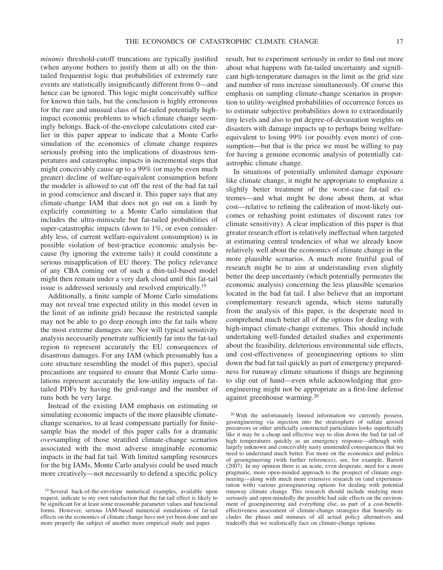*minimis* threshold-cutoff truncations are typically justified (when anyone bothers to justify them at all) on the thintailed frequentist logic that probabilities of extremely rare events are statistically insignificantly different from 0—and hence can be ignored. This logic might conceivably suffice for known thin tails, but the conclusion is highly erroneous for the rare and unusual class of fat-tailed potentially highimpact economic problems to which climate change seemingly belongs. Back-of-the-envelope calculations cited earlier in this paper appear to indicate that a Monte Carlo simulation of the economics of climate change requires seriously probing into the implications of disastrous temperatures and catastrophic impacts in incremental steps that might conceivably cause up to a 99% (or maybe even much greater) decline of welfare-equivalent consumption before the modeler is allowed to cut off the rest of the bad fat tail in good conscience and discard it. This paper says that any climate-change IAM that does not go out on a limb by explicitly committing to a Monte Carlo simulation that includes the ultra-miniscule but fat-tailed probabilities of super-catastrophic impacts (down to 1%, or even considerably less, of current welfare-equivalent consumption) is in possible violation of best-practice economic analysis because (by ignoring the extreme tails) it could constitute a serious misapplication of EU theory. The policy relevance of any CBA coming out of such a thin-tail-based model might then remain under a very dark cloud until this fat-tail issue is addressed seriously and resolved empirically.19

Additionally, a finite sample of Monte Carlo simulations may not reveal true expected utility in this model (even in the limit of an infinite grid) because the restricted sample may not be able to go deep enough into the fat tails where the most extreme damages are. Nor will typical sensitivity analysis necessarily penetrate sufficiently far into the fat-tail region to represent accurately the EU consequences of disastrous damages. For any IAM (which presumably has a core structure resembling the model of this paper), special precautions are required to ensure that Monte Carlo simulations represent accurately the low-utility impacts of fattailed PDFs by having the grid-range and the number of runs both be very large.

Instead of the existing IAM emphasis on estimating or simulating economic impacts of the more plausible climatechange scenarios, to at least compensate partially for finitesample bias the model of this paper calls for a dramatic *over*sampling of those stratified climate-change scenarios associated with the most adverse imaginable economic impacts in the bad fat tail. With limited sampling resources for the big IAMs, Monte Carlo analysis could be used much more creatively—not necessarily to defend a specific policy result, but to experiment seriously in order to find out more about what happens with fat-tailed uncertainty and significant high-temperature damages in the limit as the grid size and number of runs increase simultaneously. Of course this emphasis on sampling climate-change scenarios in proportion to utility-weighted probabilities of occurrence forces us to estimate subjective probabilities down to extraordinarily tiny levels and also to put degree-of-devastation weights on disasters with damage impacts up to perhaps being welfareequivalent to losing 99% (or possibly even more) of consumption—but that is the price we must be willing to pay for having a genuine economic analysis of potentially catastrophic climate change.

In situations of potentially unlimited damage exposure like climate change, it might be appropriate to emphasize a slightly better treatment of the worst-case fat-tail extremes—and what might be done about them, at what cost—relative to refining the calibration of most-likely outcomes or rehashing point estimates of discount rates (or climate sensitivity). A clear implication of this paper is that greater research effort is relatively ineffectual when targeted at estimating central tendencies of what we already know relatively well about the economics of climate change in the more plausible scenarios. A much more fruitful goal of research might be to aim at understanding even slightly better the deep uncertainty (which potentially permeates the economic analysis) concerning the less plausible scenarios located in the bad fat tail. I also believe that an important complementary research agenda, which stems naturally from the analysis of this paper, is the desperate need to comprehend much better all of the options for dealing with high-impact climate-change extremes. This should include undertaking well-funded detailed studies and experiments about the feasibility, deleterious environmental side effects, and cost-effectiveness of geoengineering options to slim down the bad fat tail quickly as part of emergency preparedness for runaway climate situations if things are beginning to slip out of hand—even while acknowledging that geoengineering might not be appropriate as a first-line defense against greenhouse warming.20

<sup>20</sup> With the unfortunately limited information we currently possess, geoengineering via injection into the stratosphere of sulfate aerosol precursors or other artificially constructed particulates looks superficially like it may be a cheap and effective way to slim down the bad fat tail of high temperatures quickly as an emergency response—although with largely unknown and conceivably nasty unintended consequences that we need to understand much better. For more on the economics and politics of geoengineering (with further references), see, for example, Barrett (2007). In my opinion there is an acute, even desperate, need for a more pragmatic, more open-minded approach to the prospect of climate engineering—along with much more extensive research on (and experimentation with) various geoengineering options for dealing with potential runaway climate change. This research should include studying more seriously and open-mindedly the possible bad side effects on the environment of geoengineering and everything else, as part of a cost-benefiteffectiveness assessment of climate-change strategies that honestly includes the pluses and minuses of all actual policy alternatives and tradeoffs that we realistically face on climate-change options.

<sup>19</sup> Several back-of-the-envelope numerical examples, available upon request, indicate to my own satisfaction that the fat-tail effect is likely to be significant for at least some reasonable parameter values and functional forms. However, serious IAM-based numerical simulations of fat-tail effects on the economics of climate change have not yet been done and are more properly the subject of another more empirical study and paper.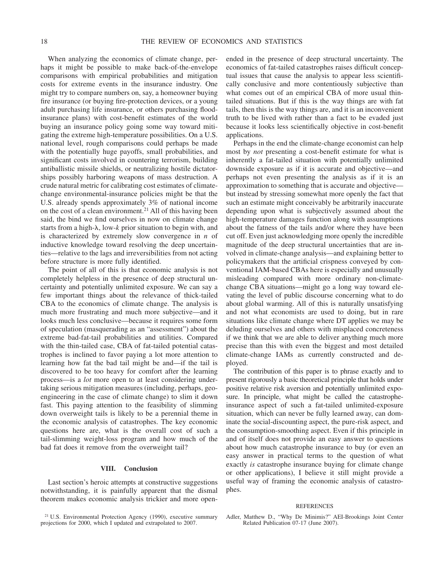When analyzing the economics of climate change, perhaps it might be possible to make back-of-the-envelope comparisons with empirical probabilities and mitigation costs for extreme events in the insurance industry. One might try to compare numbers on, say, a homeowner buying fire insurance (or buying fire-protection devices, or a young adult purchasing life insurance, or others purchasing floodinsurance plans) with cost-benefit estimates of the world buying an insurance policy going some way toward mitigating the extreme high-temperature possibilities. On a U.S. national level, rough comparisons could perhaps be made with the potentially huge payoffs, small probabilities, and significant costs involved in countering terrorism, building antiballistic missile shields, or neutralizing hostile dictatorships possibly harboring weapons of mass destruction. A crude natural metric for calibrating cost estimates of climatechange environmental-insurance policies might be that the U.S. already spends approximately 3% of national income on the cost of a clean environment.<sup>21</sup> All of this having been said, the bind we find ourselves in now on climate change starts from a high- $\lambda$ , low- $k$  prior situation to begin with, and is characterized by extremely slow convergence in *n* of inductive knowledge toward resolving the deep uncertainties—relative to the lags and irreversibilities from not acting before structure is more fully identified.

The point of all of this is that economic analysis is not completely helpless in the presence of deep structural uncertainty and potentially unlimited exposure. We can say a few important things about the relevance of thick-tailed CBA to the economics of climate change. The analysis is much more frustrating and much more subjective—and it looks much less conclusive—because it requires some form of speculation (masquerading as an "assessment") about the extreme bad-fat-tail probabilities and utilities. Compared with the thin-tailed case, CBA of fat-tailed potential catastrophes is inclined to favor paying a lot more attention to learning how fat the bad tail might be and—if the tail is discovered to be too heavy for comfort after the learning process—is a *lot* more open to at least considering undertaking serious mitigation measures (including, perhaps, geoengineering in the case of climate change) to slim it down fast. This paying attention to the feasibility of slimming down overweight tails is likely to be a perennial theme in the economic analysis of catastrophes. The key economic questions here are, what is the overall cost of such a tail-slimming weight-loss program and how much of the bad fat does it remove from the overweight tail?

#### **VIII. Conclusion**

Last section's heroic attempts at constructive suggestions notwithstanding, it is painfully apparent that the dismal theorem makes economic analysis trickier and more openended in the presence of deep structural uncertainty. The economics of fat-tailed catastrophes raises difficult conceptual issues that cause the analysis to appear less scientifically conclusive and more contentiously subjective than what comes out of an empirical CBA of more usual thintailed situations. But if this is the way things are with fat tails, then this is the way things are, and it is an inconvenient truth to be lived with rather than a fact to be evaded just because it looks less scientifically objective in cost-benefit applications.

Perhaps in the end the climate-change economist can help most by *not* presenting a cost-benefit estimate for what is inherently a fat-tailed situation with potentially unlimited downside exposure as if it is accurate and objective—and perhaps not even presenting the analysis as if it is an approximation to something that is accurate and objective but instead by stressing somewhat more openly the fact that such an estimate might conceivably be arbitrarily inaccurate depending upon what is subjectively assumed about the high-temperature damages function along with assumptions about the fatness of the tails and/or where they have been cut off. Even just acknowledging more openly the incredible magnitude of the deep structural uncertainties that are involved in climate-change analysis—and explaining better to policymakers that the artificial crispness conveyed by conventional IAM-based CBAs here is especially and unusually misleading compared with more ordinary non-climatechange CBA situations—might go a long way toward elevating the level of public discourse concerning what to do about global warming. All of this is naturally unsatisfying and not what economists are used to doing, but in rare situations like climate change where DT applies we may be deluding ourselves and others with misplaced concreteness if we think that we are able to deliver anything much more precise than this with even the biggest and most detailed climate-change IAMs as currently constructed and deployed.

The contribution of this paper is to phrase exactly and to present rigorously a basic theoretical principle that holds under positive relative risk aversion and potentially unlimited exposure. In principle, what might be called the catastropheinsurance aspect of such a fat-tailed unlimited-exposure situation, which can never be fully learned away, can dominate the social-discounting aspect, the pure-risk aspect, and the consumption-smoothing aspect. Even if this principle in and of itself does not provide an easy answer to questions about how much catastrophe insurance to buy (or even an easy answer in practical terms to the question of what exactly *is* catastrophe insurance buying for climate change or other applications), I believe it still might provide a useful way of framing the economic analysis of catastrophes.

#### **REFERENCES**

Adler, Matthew D., "Why De Minimis?" AEI-Brookings Joint Center Related Publication 07-17 (June 2007).

 $21$  U.S. Environmental Protection Agency (1990), executive summary projections for 2000, which I updated and extrapolated to 2007.